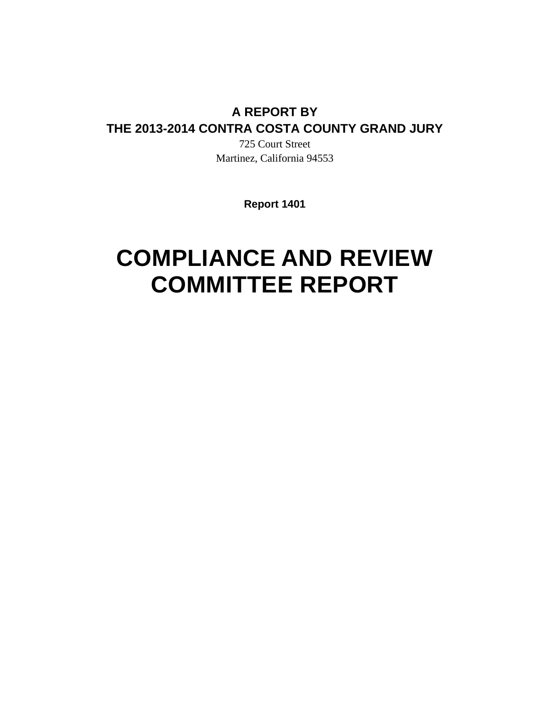## **A REPORT BY THE 2013-2014 CONTRA COSTA COUNTY GRAND JURY**

725 Court Street Martinez, California 94553

**Report 1401** 

# **COMPLIANCE AND REVIEW COMMITTEE REPORT**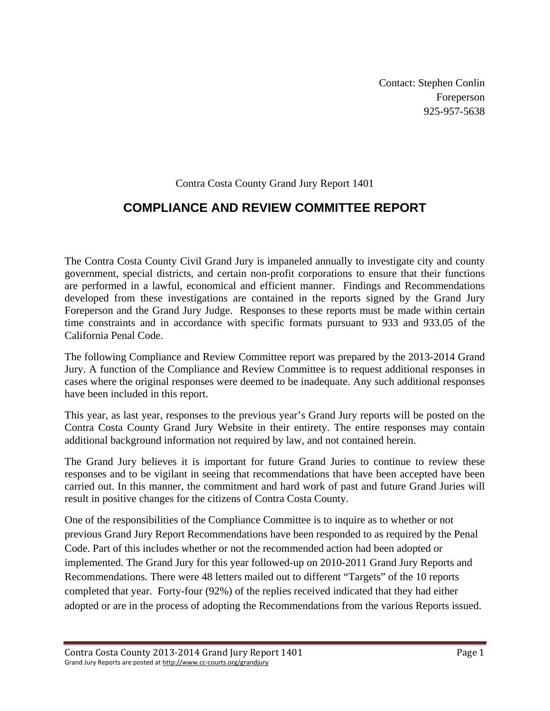Contact: Stephen Conlin Foreperson 925-957-5638

#### Contra Costa County Grand Jury Report 1401

### **COMPLIANCE AND REVIEW COMMITTEE REPORT**

The Contra Costa County Civil Grand Jury is impaneled annually to investigate city and county government, special districts, and certain non-profit corporations to ensure that their functions are performed in a lawful, economical and efficient manner. Findings and Recommendations developed from these investigations are contained in the reports signed by the Grand Jury Foreperson and the Grand Jury Judge. Responses to these reports must be made within certain time constraints and in accordance with specific formats pursuant to 933 and 933.05 of the California Penal Code.

The following Compliance and Review Committee report was prepared by the 2013-2014 Grand Jury. A function of the Compliance and Review Committee is to request additional responses in cases where the original responses were deemed to be inadequate. Any such additional responses have been included in this report.

This year, as last year, responses to the previous year's Grand Jury reports will be posted on the Contra Costa County Grand Jury Website in their entirety. The entire responses may contain additional background information not required by law, and not contained herein.

The Grand Jury believes it is important for future Grand Juries to continue to review these responses and to be vigilant in seeing that recommendations that have been accepted have been carried out. In this manner, the commitment and hard work of past and future Grand Juries will result in positive changes for the citizens of Contra Costa County.

One of the responsibilities of the Compliance Committee is to inquire as to whether or not previous Grand Jury Report Recommendations have been responded to as required by the Penal Code. Part of this includes whether or not the recommended action had been adopted or implemented. The Grand Jury for this year followed-up on 2010-2011 Grand Jury Reports and Recommendations. There were 48 letters mailed out to different "Targets" of the 10 reports completed that year. Forty-four (92%) of the replies received indicated that they had either adopted or are in the process of adopting the Recommendations from the various Reports issued.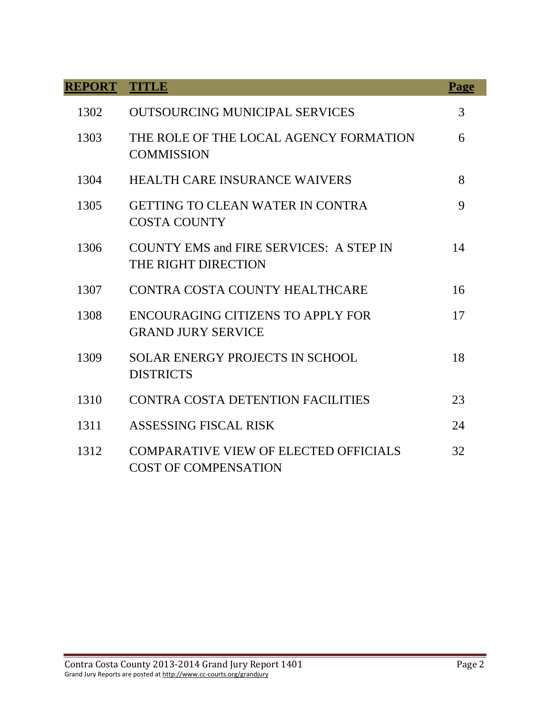| <b>REPORT</b> | TTTTLE                                                                      | <b>Page</b> |
|---------------|-----------------------------------------------------------------------------|-------------|
| 1302          | <b>OUTSOURCING MUNICIPAL SERVICES</b>                                       | 3           |
| 1303          | THE ROLE OF THE LOCAL AGENCY FORMATION<br><b>COMMISSION</b>                 | 6           |
| 1304          | <b>HEALTH CARE INSURANCE WAIVERS</b>                                        | 8           |
| 1305          | <b>GETTING TO CLEAN WATER IN CONTRA</b><br><b>COSTA COUNTY</b>              | 9           |
| 1306          | <b>COUNTY EMS and FIRE SERVICES: A STEP IN</b><br>THE RIGHT DIRECTION       | 14          |
| 1307          | CONTRA COSTA COUNTY HEALTHCARE                                              | 16          |
| 1308          | ENCOURAGING CITIZENS TO APPLY FOR<br><b>GRAND JURY SERVICE</b>              | 17          |
| 1309          | <b>SOLAR ENERGY PROJECTS IN SCHOOL</b><br><b>DISTRICTS</b>                  | 18          |
| 1310          | CONTRA COSTA DETENTION FACILITIES                                           | 23          |
| 1311          | <b>ASSESSING FISCAL RISK</b>                                                | 24          |
| 1312          | <b>COMPARATIVE VIEW OF ELECTED OFFICIALS</b><br><b>COST OF COMPENSATION</b> | 32          |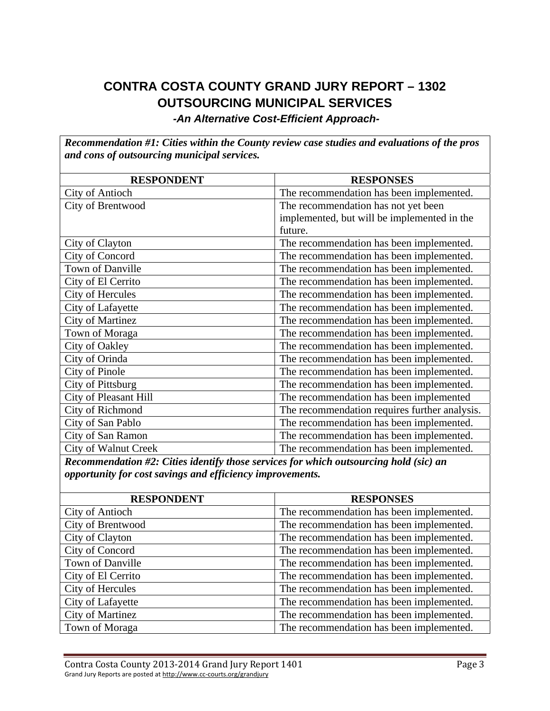# **CONTRA COSTA COUNTY GRAND JURY REPORT – 1302 OUTSOURCING MUNICIPAL SERVICES**

*-An Alternative Cost-Efficient Approach-*

*Recommendation #1: Cities within the County review case studies and evaluations of the pros and cons of outsourcing municipal services.* 

| <b>RESPONDENT</b>            | <b>RESPONSES</b>                              |
|------------------------------|-----------------------------------------------|
| <b>City of Antioch</b>       | The recommendation has been implemented.      |
| City of Brentwood            | The recommendation has not yet been           |
|                              | implemented, but will be implemented in the   |
|                              | future.                                       |
| City of Clayton              | The recommendation has been implemented.      |
| City of Concord              | The recommendation has been implemented.      |
| Town of Danville             | The recommendation has been implemented.      |
| City of El Cerrito           | The recommendation has been implemented.      |
| City of Hercules             | The recommendation has been implemented.      |
| City of Lafayette            | The recommendation has been implemented.      |
| <b>City of Martinez</b>      | The recommendation has been implemented.      |
| Town of Moraga               | The recommendation has been implemented.      |
| City of Oakley               | The recommendation has been implemented.      |
| City of Orinda               | The recommendation has been implemented.      |
| City of Pinole               | The recommendation has been implemented.      |
| City of Pittsburg            | The recommendation has been implemented.      |
| <b>City of Pleasant Hill</b> | The recommendation has been implemented       |
| City of Richmond             | The recommendation requires further analysis. |
| City of San Pablo            | The recommendation has been implemented.      |
| City of San Ramon            | The recommendation has been implemented.      |
| <b>City of Walnut Creek</b>  | The recommendation has been implemented.      |

*Recommendation #2: Cities identify those services for which outsourcing hold (sic) an opportunity for cost savings and efficiency improvements.* 

| <b>RESPONDENT</b>       | <b>RESPONSES</b>                         |
|-------------------------|------------------------------------------|
| City of Antioch         | The recommendation has been implemented. |
| City of Brentwood       | The recommendation has been implemented. |
| City of Clayton         | The recommendation has been implemented. |
| City of Concord         | The recommendation has been implemented. |
| Town of Danville        | The recommendation has been implemented. |
| City of El Cerrito      | The recommendation has been implemented. |
| City of Hercules        | The recommendation has been implemented. |
| City of Lafayette       | The recommendation has been implemented. |
| <b>City of Martinez</b> | The recommendation has been implemented. |
| Town of Moraga          | The recommendation has been implemented. |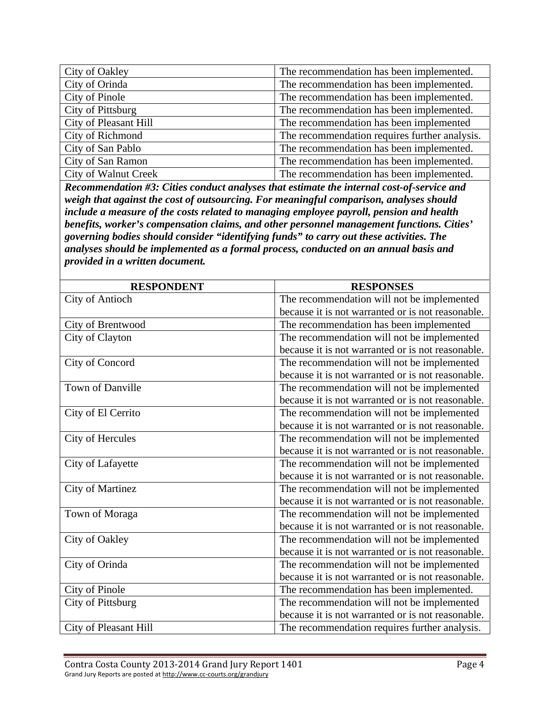| City of Oakley              | The recommendation has been implemented.      |
|-----------------------------|-----------------------------------------------|
| City of Orinda              | The recommendation has been implemented.      |
| City of Pinole              | The recommendation has been implemented.      |
| City of Pittsburg           | The recommendation has been implemented.      |
| City of Pleasant Hill       | The recommendation has been implemented       |
| City of Richmond            | The recommendation requires further analysis. |
| City of San Pablo           | The recommendation has been implemented.      |
| City of San Ramon           | The recommendation has been implemented.      |
| <b>City of Walnut Creek</b> | The recommendation has been implemented.      |

*Recommendation #3: Cities conduct analyses that estimate the internal cost-of-service and weigh that against the cost of outsourcing. For meaningful comparison, analyses should include a measure of the costs related to managing employee payroll, pension and health benefits, worker's compensation claims, and other personnel management functions. Cities' governing bodies should consider "identifying funds" to carry out these activities. The analyses should be implemented as a formal process, conducted on an annual basis and provided in a written document.* 

| <b>RESPONDENT</b>       | <b>RESPONSES</b>                                  |
|-------------------------|---------------------------------------------------|
| <b>City of Antioch</b>  | The recommendation will not be implemented        |
|                         | because it is not warranted or is not reasonable. |
| City of Brentwood       | The recommendation has been implemented           |
| City of Clayton         | The recommendation will not be implemented        |
|                         | because it is not warranted or is not reasonable. |
| City of Concord         | The recommendation will not be implemented        |
|                         | because it is not warranted or is not reasonable. |
| Town of Danville        | The recommendation will not be implemented        |
|                         | because it is not warranted or is not reasonable. |
| City of El Cerrito      | The recommendation will not be implemented        |
|                         | because it is not warranted or is not reasonable. |
| City of Hercules        | The recommendation will not be implemented        |
|                         | because it is not warranted or is not reasonable. |
| City of Lafayette       | The recommendation will not be implemented        |
|                         | because it is not warranted or is not reasonable. |
| <b>City of Martinez</b> | The recommendation will not be implemented        |
|                         | because it is not warranted or is not reasonable. |
| Town of Moraga          | The recommendation will not be implemented        |
|                         | because it is not warranted or is not reasonable. |
| City of Oakley          | The recommendation will not be implemented        |
|                         | because it is not warranted or is not reasonable. |
| City of Orinda          | The recommendation will not be implemented        |
|                         | because it is not warranted or is not reasonable. |
| City of Pinole          | The recommendation has been implemented.          |
| City of Pittsburg       | The recommendation will not be implemented        |
|                         | because it is not warranted or is not reasonable. |
| City of Pleasant Hill   | The recommendation requires further analysis.     |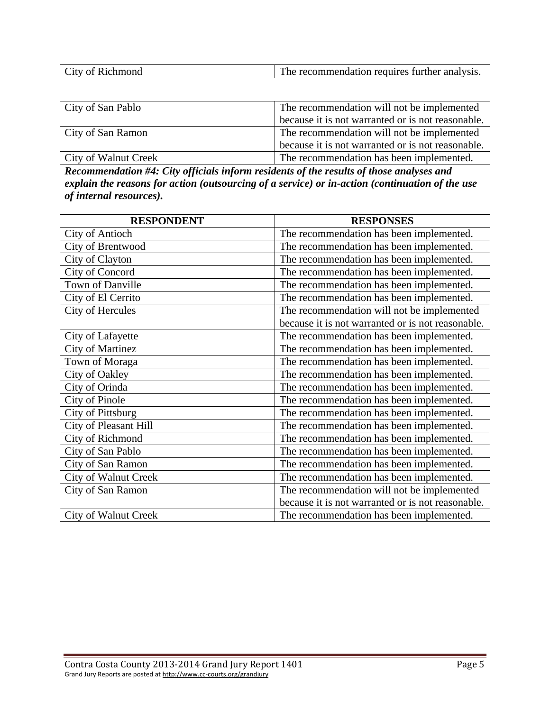| <b>CONTINENT</b><br>e recommendation requires further analysis.<br>City of Richmond<br>. ne |
|---------------------------------------------------------------------------------------------|
|---------------------------------------------------------------------------------------------|

| City of San Pablo           | The recommendation will not be implemented        |
|-----------------------------|---------------------------------------------------|
|                             | because it is not warranted or is not reasonable. |
| City of San Ramon           | The recommendation will not be implemented        |
|                             | because it is not warranted or is not reasonable. |
| <b>City of Walnut Creek</b> | The recommendation has been implemented.          |

*Recommendation #4: City officials inform residents of the results of those analyses and explain the reasons for action (outsourcing of a service) or in-action (continuation of the use of internal resources).* 

| <b>RESPONDENT</b>            | <b>RESPONSES</b>                                  |
|------------------------------|---------------------------------------------------|
| City of Antioch              | The recommendation has been implemented.          |
| City of Brentwood            | The recommendation has been implemented.          |
| City of Clayton              | The recommendation has been implemented.          |
| City of Concord              | The recommendation has been implemented.          |
| Town of Danville             | The recommendation has been implemented.          |
| City of El Cerrito           | The recommendation has been implemented.          |
| City of Hercules             | The recommendation will not be implemented        |
|                              | because it is not warranted or is not reasonable. |
| City of Lafayette            | The recommendation has been implemented.          |
| <b>City of Martinez</b>      | The recommendation has been implemented.          |
| Town of Moraga               | The recommendation has been implemented.          |
| City of Oakley               | The recommendation has been implemented.          |
| City of Orinda               | The recommendation has been implemented.          |
| City of Pinole               | The recommendation has been implemented.          |
| City of Pittsburg            | The recommendation has been implemented.          |
| <b>City of Pleasant Hill</b> | The recommendation has been implemented.          |
| City of Richmond             | The recommendation has been implemented.          |
| City of San Pablo            | The recommendation has been implemented.          |
| City of San Ramon            | The recommendation has been implemented.          |
| City of Walnut Creek         | The recommendation has been implemented.          |
| City of San Ramon            | The recommendation will not be implemented        |
|                              | because it is not warranted or is not reasonable. |
| City of Walnut Creek         | The recommendation has been implemented.          |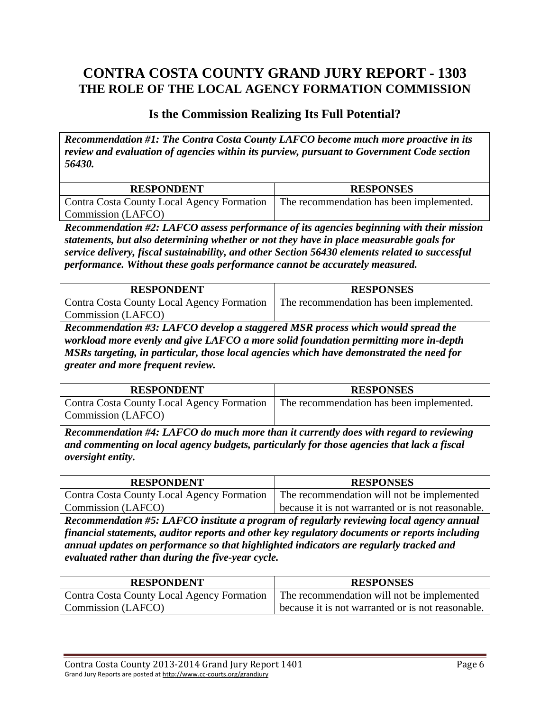## **CONTRA COSTA COUNTY GRAND JURY REPORT - 1303 THE ROLE OF THE LOCAL AGENCY FORMATION COMMISSION**

#### **Is the Commission Realizing Its Full Potential?**

*Recommendation #1: The Contra Costa County LAFCO become much more proactive in its review and evaluation of agencies within its purview, pursuant to Government Code section 56430.* 

| <b>RESPONDENT</b>                                                                     | <b>RESPONSES</b> |
|---------------------------------------------------------------------------------------|------------------|
| Contra Costa County Local Agency Formation   The recommendation has been implemented. |                  |
| Commission (LAFCO)                                                                    |                  |

*Recommendation #2: LAFCO assess performance of its agencies beginning with their mission statements, but also determining whether or not they have in place measurable goals for service delivery, fiscal sustainability, and other Section 56430 elements related to successful performance. Without these goals performance cannot be accurately measured.* 

| <b>RESPONDENT</b>                          | <b>RESPONSES</b>                         |
|--------------------------------------------|------------------------------------------|
| Contra Costa County Local Agency Formation | The recommendation has been implemented. |
| Commission (LAFCO)                         |                                          |

*Recommendation #3: LAFCO develop a staggered MSR process which would spread the workload more evenly and give LAFCO a more solid foundation permitting more in-depth MSRs targeting, in particular, those local agencies which have demonstrated the need for greater and more frequent review.* 

| <b>RESPONDENT</b>                                                                     | <b>RESPONSES</b> |
|---------------------------------------------------------------------------------------|------------------|
| Contra Costa County Local Agency Formation   The recommendation has been implemented. |                  |
| Commission (LAFCO)                                                                    |                  |

*Recommendation #4: LAFCO do much more than it currently does with regard to reviewing and commenting on local agency budgets, particularly for those agencies that lack a fiscal oversight entity.* 

| <b>RESPONDENT</b>                                                                       | <b>RESPONSES</b>                                  |
|-----------------------------------------------------------------------------------------|---------------------------------------------------|
| Contra Costa County Local Agency Formation   The recommendation will not be implemented |                                                   |
| Commission (LAFCO)                                                                      | because it is not warranted or is not reasonable. |

*Recommendation #5: LAFCO institute a program of regularly reviewing local agency annual financial statements, auditor reports and other key regulatory documents or reports including annual updates on performance so that highlighted indicators are regularly tracked and evaluated rather than during the five-year cycle.* 

| <b>RESPONDENT</b>                                                                       | <b>RESPONSES</b>                                  |
|-----------------------------------------------------------------------------------------|---------------------------------------------------|
| Contra Costa County Local Agency Formation   The recommendation will not be implemented |                                                   |
| Commission (LAFCO)                                                                      | because it is not warranted or is not reasonable. |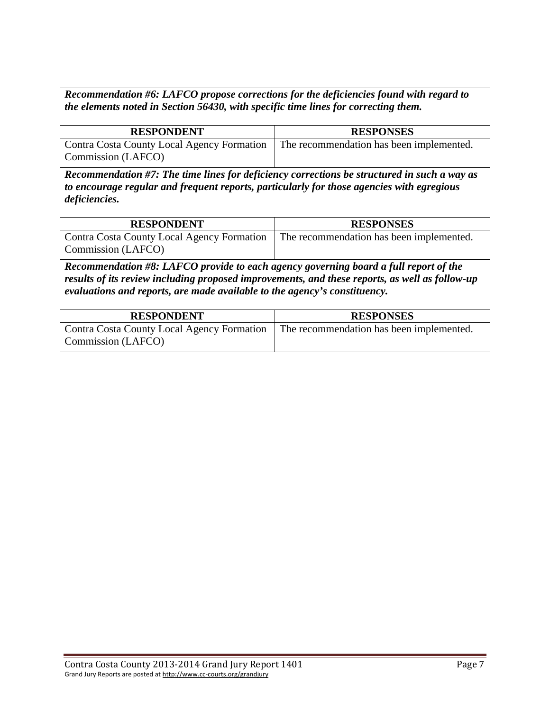*Recommendation #6: LAFCO propose corrections for the deficiencies found with regard to the elements noted in Section 56430, with specific time lines for correcting them.* 

| <b>RESPONDENT</b>                                                       | <b>RESPONSES</b>                         |
|-------------------------------------------------------------------------|------------------------------------------|
| <b>Contra Costa County Local Agency Formation</b><br>Commission (LAFCO) | The recommendation has been implemented. |

*Recommendation #7: The time lines for deficiency corrections be structured in such a way as to encourage regular and frequent reports, particularly for those agencies with egregious deficiencies.* 

| <b>RESPONDENT</b>                          | <b>RESPONSES</b>                         |
|--------------------------------------------|------------------------------------------|
| Contra Costa County Local Agency Formation | The recommendation has been implemented. |
| Commission (LAFCO)                         |                                          |

*Recommendation #8: LAFCO provide to each agency governing board a full report of the results of its review including proposed improvements, and these reports, as well as follow-up evaluations and reports, are made available to the agency's constituency.* 

| <b>RESPONDENT</b>                                                | <b>RESPONSES</b>                         |
|------------------------------------------------------------------|------------------------------------------|
| Contra Costa County Local Agency Formation<br>Commission (LAFCO) | The recommendation has been implemented. |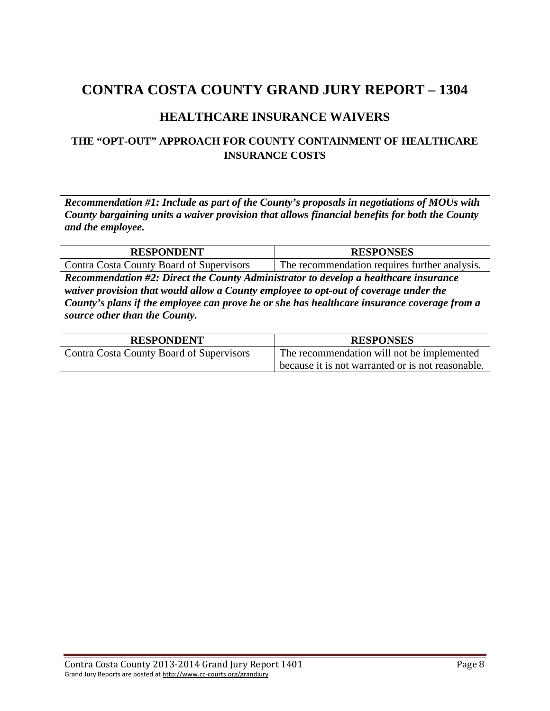### **HEALTHCARE INSURANCE WAIVERS**

#### **THE "OPT-OUT" APPROACH FOR COUNTY CONTAINMENT OF HEALTHCARE INSURANCE COSTS**

*Recommendation #1: Include as part of the County's proposals in negotiations of MOUs with County bargaining units a waiver provision that allows financial benefits for both the County and the employee.* 

| <b>RESPONDENT</b>                        | <b>RESPONSES</b>                              |
|------------------------------------------|-----------------------------------------------|
| Contra Costa County Board of Supervisors | The recommendation requires further analysis. |

*Recommendation #2: Direct the County Administrator to develop a healthcare insurance waiver provision that would allow a County employee to opt-out of coverage under the County's plans if the employee can prove he or she has healthcare insurance coverage from a source other than the County.* 

| <b>RESPONDENT</b>                        | <b>RESPONSES</b>                                  |
|------------------------------------------|---------------------------------------------------|
| Contra Costa County Board of Supervisors | The recommendation will not be implemented        |
|                                          | because it is not warranted or is not reasonable. |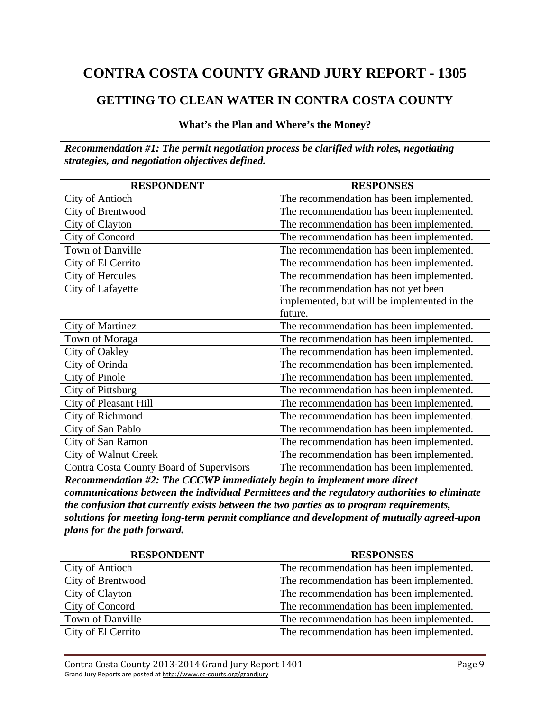#### **GETTING TO CLEAN WATER IN CONTRA COSTA COUNTY**

#### **What's the Plan and Where's the Money?**

*Recommendation #1: The permit negotiation process be clarified with roles, negotiating strategies, and negotiation objectives defined.* 

| <b>RESPONDENT</b>                        | <b>RESPONSES</b>                            |
|------------------------------------------|---------------------------------------------|
| <b>City of Antioch</b>                   | The recommendation has been implemented.    |
| City of Brentwood                        | The recommendation has been implemented.    |
| City of Clayton                          | The recommendation has been implemented.    |
| City of Concord                          | The recommendation has been implemented.    |
| Town of Danville                         | The recommendation has been implemented.    |
| City of El Cerrito                       | The recommendation has been implemented.    |
| City of Hercules                         | The recommendation has been implemented.    |
| City of Lafayette                        | The recommendation has not yet been         |
|                                          | implemented, but will be implemented in the |
|                                          | future.                                     |
| <b>City of Martinez</b>                  | The recommendation has been implemented.    |
| Town of Moraga                           | The recommendation has been implemented.    |
| City of Oakley                           | The recommendation has been implemented.    |
| City of Orinda                           | The recommendation has been implemented.    |
| City of Pinole                           | The recommendation has been implemented.    |
| City of Pittsburg                        | The recommendation has been implemented.    |
| <b>City of Pleasant Hill</b>             | The recommendation has been implemented.    |
| City of Richmond                         | The recommendation has been implemented.    |
| City of San Pablo                        | The recommendation has been implemented.    |
| City of San Ramon                        | The recommendation has been implemented.    |
| <b>City of Walnut Creek</b>              | The recommendation has been implemented.    |
| Contra Costa County Board of Supervisors | The recommendation has been implemented.    |

*Recommendation #2: The CCCWP immediately begin to implement more direct communications between the individual Permittees and the regulatory authorities to eliminate the confusion that currently exists between the two parties as to program requirements, solutions for meeting long-term permit compliance and development of mutually agreed-upon plans for the path forward.* 

| <b>RESPONDENT</b>  | <b>RESPONSES</b>                         |
|--------------------|------------------------------------------|
| City of Antioch    | The recommendation has been implemented. |
| City of Brentwood  | The recommendation has been implemented. |
| City of Clayton    | The recommendation has been implemented. |
| City of Concord    | The recommendation has been implemented. |
| Town of Danville   | The recommendation has been implemented. |
| City of El Cerrito | The recommendation has been implemented. |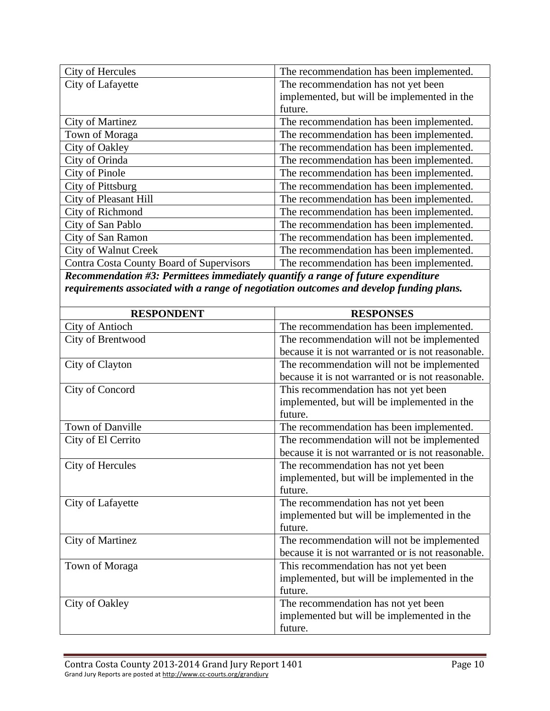| City of Hercules                         | The recommendation has been implemented.    |
|------------------------------------------|---------------------------------------------|
| City of Lafayette                        | The recommendation has not yet been         |
|                                          | implemented, but will be implemented in the |
|                                          | future.                                     |
| City of Martinez                         | The recommendation has been implemented.    |
| Town of Moraga                           | The recommendation has been implemented.    |
| City of Oakley                           | The recommendation has been implemented.    |
| City of Orinda                           | The recommendation has been implemented.    |
| City of Pinole                           | The recommendation has been implemented.    |
| City of Pittsburg                        | The recommendation has been implemented.    |
| City of Pleasant Hill                    | The recommendation has been implemented.    |
| City of Richmond                         | The recommendation has been implemented.    |
| City of San Pablo                        | The recommendation has been implemented.    |
| City of San Ramon                        | The recommendation has been implemented.    |
| <b>City of Walnut Creek</b>              | The recommendation has been implemented.    |
| Contra Costa County Board of Supervisors | The recommendation has been implemented.    |

*Recommendation #3: Permittees immediately quantify a range of future expenditure requirements associated with a range of negotiation outcomes and develop funding plans.* 

| <b>RESPONDENT</b>      | <b>RESPONSES</b>                                  |
|------------------------|---------------------------------------------------|
| <b>City of Antioch</b> | The recommendation has been implemented.          |
| City of Brentwood      | The recommendation will not be implemented        |
|                        | because it is not warranted or is not reasonable. |
| City of Clayton        | The recommendation will not be implemented        |
|                        | because it is not warranted or is not reasonable. |
| City of Concord        | This recommendation has not yet been              |
|                        | implemented, but will be implemented in the       |
|                        | future.                                           |
| Town of Danville       | The recommendation has been implemented.          |
| City of El Cerrito     | The recommendation will not be implemented        |
|                        | because it is not warranted or is not reasonable. |
| City of Hercules       | The recommendation has not yet been               |
|                        | implemented, but will be implemented in the       |
|                        | future.                                           |
| City of Lafayette      | The recommendation has not yet been               |
|                        | implemented but will be implemented in the        |
|                        | future.                                           |
| City of Martinez       | The recommendation will not be implemented        |
|                        | because it is not warranted or is not reasonable. |
| Town of Moraga         | This recommendation has not yet been              |
|                        | implemented, but will be implemented in the       |
|                        | future.                                           |
| City of Oakley         | The recommendation has not yet been               |
|                        | implemented but will be implemented in the        |
|                        | future.                                           |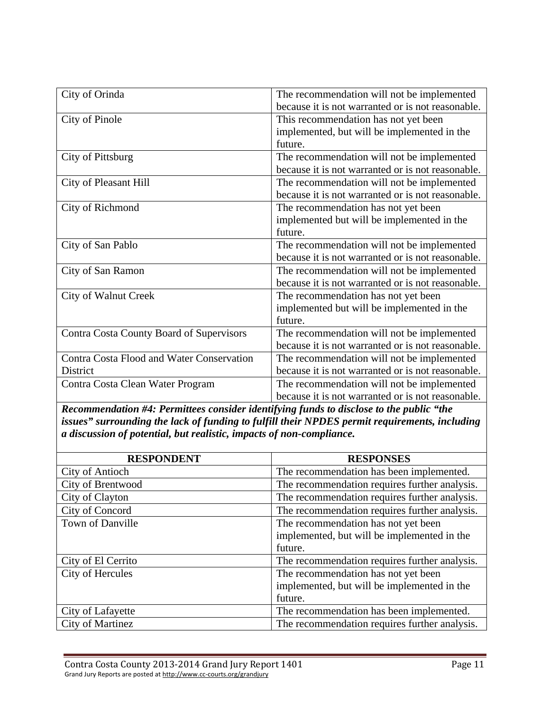| City of Orinda                            | The recommendation will not be implemented        |
|-------------------------------------------|---------------------------------------------------|
|                                           | because it is not warranted or is not reasonable. |
| <b>City of Pinole</b>                     | This recommendation has not yet been              |
|                                           | implemented, but will be implemented in the       |
|                                           | future.                                           |
| City of Pittsburg                         | The recommendation will not be implemented        |
|                                           | because it is not warranted or is not reasonable. |
| City of Pleasant Hill                     | The recommendation will not be implemented        |
|                                           | because it is not warranted or is not reasonable. |
| City of Richmond                          | The recommendation has not yet been               |
|                                           | implemented but will be implemented in the        |
|                                           | future.                                           |
| City of San Pablo                         | The recommendation will not be implemented        |
|                                           | because it is not warranted or is not reasonable. |
| City of San Ramon                         | The recommendation will not be implemented        |
|                                           | because it is not warranted or is not reasonable. |
| <b>City of Walnut Creek</b>               | The recommendation has not yet been               |
|                                           | implemented but will be implemented in the        |
|                                           | future.                                           |
| Contra Costa County Board of Supervisors  | The recommendation will not be implemented        |
|                                           | because it is not warranted or is not reasonable. |
| Contra Costa Flood and Water Conservation | The recommendation will not be implemented        |
| District                                  | because it is not warranted or is not reasonable. |
| Contra Costa Clean Water Program          | The recommendation will not be implemented        |
|                                           | because it is not warranted or is not reasonable. |

*Recommendation #4: Permittees consider identifying funds to disclose to the public "the issues" surrounding the lack of funding to fulfill their NPDES permit requirements, including a discussion of potential, but realistic, impacts of non-compliance.* 

| <b>RESPONDENT</b>       | <b>RESPONSES</b>                              |
|-------------------------|-----------------------------------------------|
| City of Antioch         | The recommendation has been implemented.      |
| City of Brentwood       | The recommendation requires further analysis. |
| City of Clayton         | The recommendation requires further analysis. |
| City of Concord         | The recommendation requires further analysis. |
| <b>Town of Danville</b> | The recommendation has not yet been           |
|                         | implemented, but will be implemented in the   |
|                         | future.                                       |
| City of El Cerrito      | The recommendation requires further analysis. |
| City of Hercules        | The recommendation has not yet been           |
|                         | implemented, but will be implemented in the   |
|                         | future.                                       |
| City of Lafayette       | The recommendation has been implemented.      |
| <b>City of Martinez</b> | The recommendation requires further analysis. |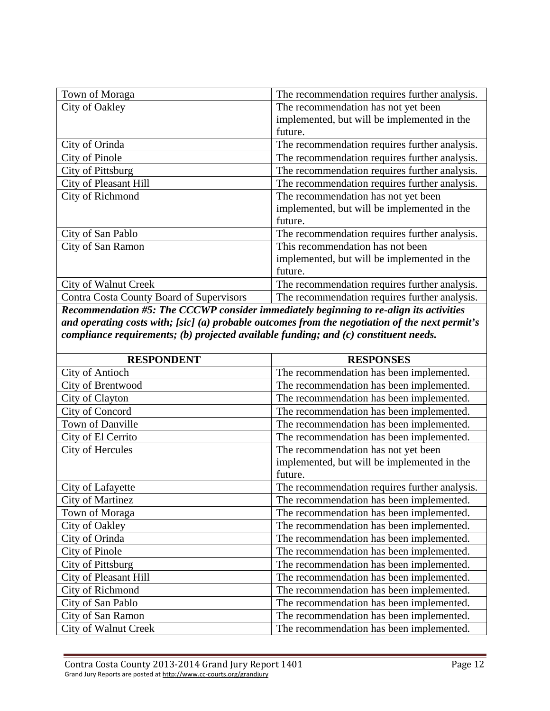| Town of Moraga                           | The recommendation requires further analysis. |
|------------------------------------------|-----------------------------------------------|
| City of Oakley                           | The recommendation has not yet been           |
|                                          | implemented, but will be implemented in the   |
|                                          | future.                                       |
| City of Orinda                           | The recommendation requires further analysis. |
| City of Pinole                           | The recommendation requires further analysis. |
| City of Pittsburg                        | The recommendation requires further analysis. |
| <b>City of Pleasant Hill</b>             | The recommendation requires further analysis. |
| City of Richmond                         | The recommendation has not yet been           |
|                                          | implemented, but will be implemented in the   |
|                                          | future.                                       |
| City of San Pablo                        | The recommendation requires further analysis. |
| City of San Ramon                        | This recommendation has not been              |
|                                          | implemented, but will be implemented in the   |
|                                          | future.                                       |
| City of Walnut Creek                     | The recommendation requires further analysis. |
| Contra Costa County Board of Supervisors | The recommendation requires further analysis. |

*Recommendation #5: The CCCWP consider immediately beginning to re-align its activities and operating costs with; [sic] (a) probable outcomes from the negotiation of the next permit's compliance requirements; (b) projected available funding; and (c) constituent needs.* 

| <b>RESPONDENT</b>     | <b>RESPONSES</b>                              |
|-----------------------|-----------------------------------------------|
| City of Antioch       | The recommendation has been implemented.      |
| City of Brentwood     | The recommendation has been implemented.      |
| City of Clayton       | The recommendation has been implemented.      |
| City of Concord       | The recommendation has been implemented.      |
| Town of Danville      | The recommendation has been implemented.      |
| City of El Cerrito    | The recommendation has been implemented.      |
| City of Hercules      | The recommendation has not yet been           |
|                       | implemented, but will be implemented in the   |
|                       | future.                                       |
| City of Lafayette     | The recommendation requires further analysis. |
| City of Martinez      | The recommendation has been implemented.      |
| Town of Moraga        | The recommendation has been implemented.      |
| City of Oakley        | The recommendation has been implemented.      |
| City of Orinda        | The recommendation has been implemented.      |
| City of Pinole        | The recommendation has been implemented.      |
| City of Pittsburg     | The recommendation has been implemented.      |
| City of Pleasant Hill | The recommendation has been implemented.      |
| City of Richmond      | The recommendation has been implemented.      |
| City of San Pablo     | The recommendation has been implemented.      |
| City of San Ramon     | The recommendation has been implemented.      |
| City of Walnut Creek  | The recommendation has been implemented.      |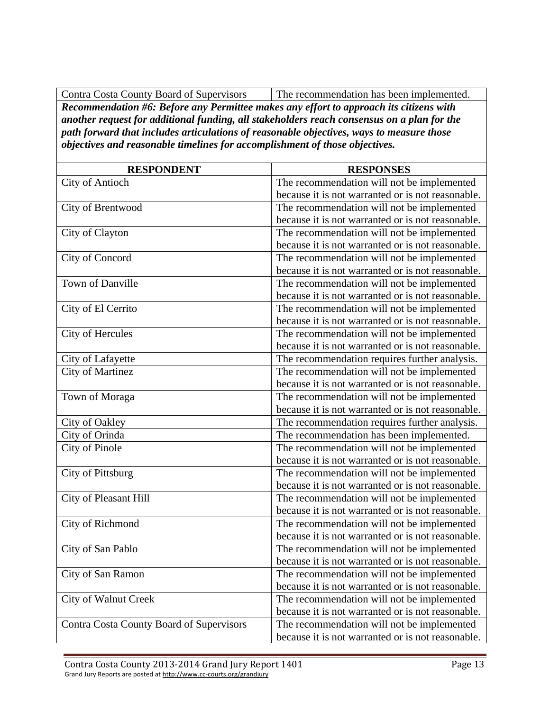Contra Costa County Board of Supervisors The recommendation has been implemented.

*Recommendation #6: Before any Permittee makes any effort to approach its citizens with another request for additional funding, all stakeholders reach consensus on a plan for the path forward that includes articulations of reasonable objectives, ways to measure those objectives and reasonable timelines for accomplishment of those objectives.* 

| <b>RESPONDENT</b>                        | <b>RESPONSES</b>                                  |
|------------------------------------------|---------------------------------------------------|
| <b>City of Antioch</b>                   | The recommendation will not be implemented        |
|                                          | because it is not warranted or is not reasonable. |
| City of Brentwood                        | The recommendation will not be implemented        |
|                                          | because it is not warranted or is not reasonable. |
| City of Clayton                          | The recommendation will not be implemented        |
|                                          | because it is not warranted or is not reasonable. |
| City of Concord                          | The recommendation will not be implemented        |
|                                          | because it is not warranted or is not reasonable. |
| <b>Town of Danville</b>                  | The recommendation will not be implemented        |
|                                          | because it is not warranted or is not reasonable. |
| City of El Cerrito                       | The recommendation will not be implemented        |
|                                          | because it is not warranted or is not reasonable. |
| City of Hercules                         | The recommendation will not be implemented        |
|                                          | because it is not warranted or is not reasonable. |
| City of Lafayette                        | The recommendation requires further analysis.     |
| <b>City of Martinez</b>                  | The recommendation will not be implemented        |
|                                          | because it is not warranted or is not reasonable. |
| Town of Moraga                           | The recommendation will not be implemented        |
|                                          | because it is not warranted or is not reasonable. |
| City of Oakley                           | The recommendation requires further analysis.     |
| City of Orinda                           | The recommendation has been implemented.          |
| City of Pinole                           | The recommendation will not be implemented        |
|                                          | because it is not warranted or is not reasonable. |
| City of Pittsburg                        | The recommendation will not be implemented        |
|                                          | because it is not warranted or is not reasonable. |
| City of Pleasant Hill                    | The recommendation will not be implemented        |
|                                          | because it is not warranted or is not reasonable. |
| City of Richmond                         | The recommendation will not be implemented        |
|                                          | because it is not warranted or is not reasonable. |
| City of San Pablo                        | The recommendation will not be implemented        |
|                                          | because it is not warranted or is not reasonable. |
| City of San Ramon                        | The recommendation will not be implemented        |
|                                          | because it is not warranted or is not reasonable. |
| City of Walnut Creek                     | The recommendation will not be implemented        |
|                                          | because it is not warranted or is not reasonable. |
| Contra Costa County Board of Supervisors | The recommendation will not be implemented        |
|                                          | because it is not warranted or is not reasonable. |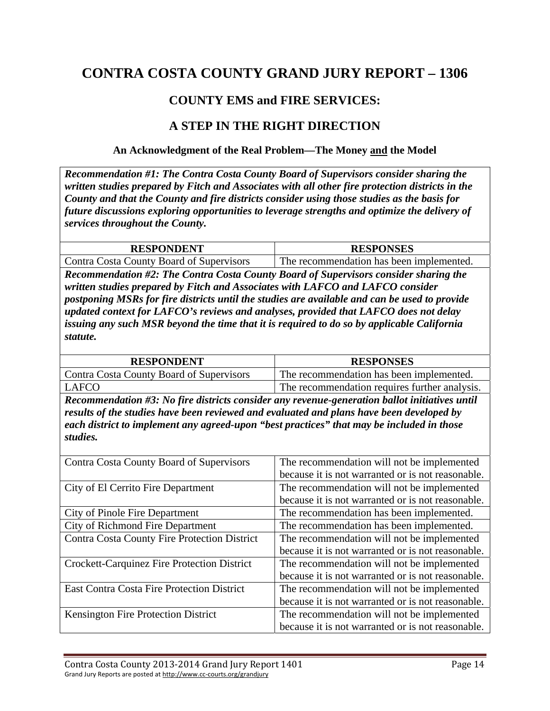### **COUNTY EMS and FIRE SERVICES:**

#### **A STEP IN THE RIGHT DIRECTION**

#### **An Acknowledgment of the Real Problem—The Money and the Model**

*Recommendation #1: The Contra Costa County Board of Supervisors consider sharing the written studies prepared by Fitch and Associates with all other fire protection districts in the County and that the County and fire districts consider using those studies as the basis for future discussions exploring opportunities to leverage strengths and optimize the delivery of services throughout the County.* 

| <b>RESPONDENT</b>                        | <b>RESPONSES</b>                         |
|------------------------------------------|------------------------------------------|
| Contra Costa County Board of Supervisors | The recommendation has been implemented. |

*Recommendation #2: The Contra Costa County Board of Supervisors consider sharing the written studies prepared by Fitch and Associates with LAFCO and LAFCO consider postponing MSRs for fire districts until the studies are available and can be used to provide updated context for LAFCO's reviews and analyses, provided that LAFCO does not delay issuing any such MSR beyond the time that it is required to do so by applicable California statute.* 

| <b>RESPONDENT</b>                                                                                                                                                                     | <b>RESPONSES</b>                              |  |
|---------------------------------------------------------------------------------------------------------------------------------------------------------------------------------------|-----------------------------------------------|--|
| Contra Costa County Board of Supervisors                                                                                                                                              | The recommendation has been implemented.      |  |
| <b>LAFCO</b>                                                                                                                                                                          | The recommendation requires further analysis. |  |
| Recommendation #3: No fire districts consider any revenue-generation ballot initiatives until                                                                                         |                                               |  |
| results of the studies have been reviewed and evaluated and plans have been developed by<br>each district to implement any agreed-upon "best practices" that may be included in those |                                               |  |
| studies.                                                                                                                                                                              |                                               |  |

| Contra Costa County Board of Supervisors          | The recommendation will not be implemented        |
|---------------------------------------------------|---------------------------------------------------|
|                                                   | because it is not warranted or is not reasonable. |
| City of El Cerrito Fire Department                | The recommendation will not be implemented        |
|                                                   | because it is not warranted or is not reasonable. |
| City of Pinole Fire Department                    | The recommendation has been implemented.          |
| City of Richmond Fire Department                  | The recommendation has been implemented.          |
| Contra Costa County Fire Protection District      | The recommendation will not be implemented        |
|                                                   | because it is not warranted or is not reasonable. |
| Crockett-Carquinez Fire Protection District       | The recommendation will not be implemented        |
|                                                   | because it is not warranted or is not reasonable. |
| <b>East Contra Costa Fire Protection District</b> | The recommendation will not be implemented        |
|                                                   | because it is not warranted or is not reasonable. |
| Kensington Fire Protection District               | The recommendation will not be implemented        |
|                                                   | because it is not warranted or is not reasonable. |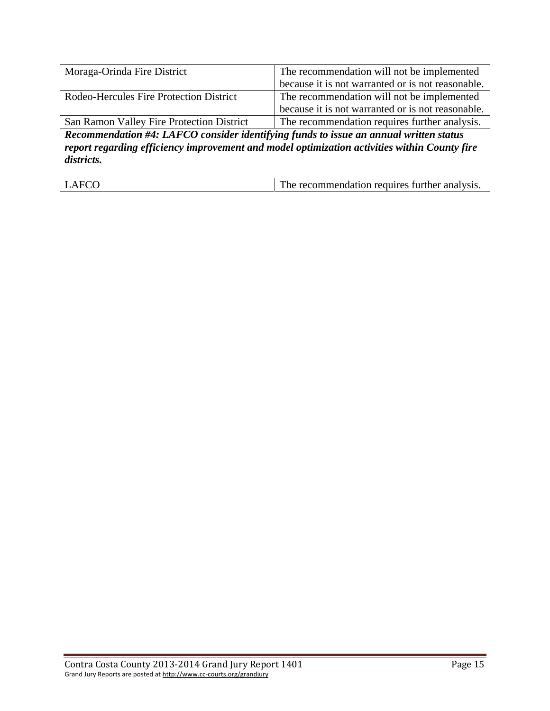| Moraga-Orinda Fire District               | The recommendation will not be implemented                                                                                                                                                                                    |
|-------------------------------------------|-------------------------------------------------------------------------------------------------------------------------------------------------------------------------------------------------------------------------------|
|                                           | because it is not warranted or is not reasonable.                                                                                                                                                                             |
| Rodeo-Hercules Fire Protection District   | The recommendation will not be implemented                                                                                                                                                                                    |
|                                           | because it is not warranted or is not reasonable.                                                                                                                                                                             |
| San Ramon Valley Fire Protection District | The recommendation requires further analysis.                                                                                                                                                                                 |
| $\mathbf{r}$                              | $1$ . If $1$ is not contained in the contact of $1$ and $1$ and $1$ and $1$ and $1$ and $1$ and $1$ and $1$ and $1$ and $1$ and $1$ and $1$ and $1$ and $1$ and $1$ and $1$ and $1$ and $1$ and $1$ and $1$ and $1$ and $1$ a |

*Recommendation #4: LAFCO consider identifying funds to issue an annual written status report regarding efficiency improvement and model optimization activities within County fire districts.* 

| $\sim$<br>The recommendation requires further analysis. |
|---------------------------------------------------------|
|                                                         |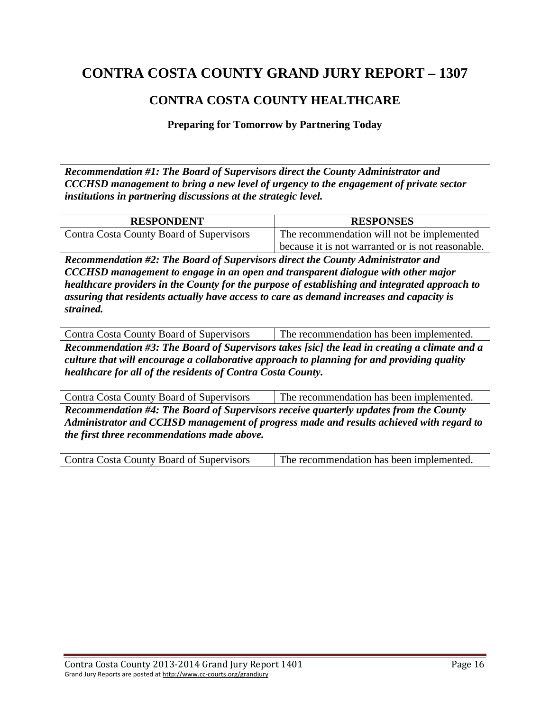### **CONTRA COSTA COUNTY HEALTHCARE**

**Preparing for Tomorrow by Partnering Today** 

*Recommendation #1: The Board of Supervisors direct the County Administrator and CCCHSD management to bring a new level of urgency to the engagement of private sector institutions in partnering discussions at the strategic level.* 

| <b>RESPONDENT</b>                        | <b>RESPONSES</b>                                  |
|------------------------------------------|---------------------------------------------------|
| Contra Costa County Board of Supervisors | The recommendation will not be implemented        |
|                                          | because it is not warranted or is not reasonable. |

*Recommendation #2: The Board of Supervisors direct the County Administrator and CCCHSD management to engage in an open and transparent dialogue with other major healthcare providers in the County for the purpose of establishing and integrated approach to assuring that residents actually have access to care as demand increases and capacity is strained.* 

Contra Costa County Board of Supervisors The recommendation has been implemented. *Recommendation #3: The Board of Supervisors takes [sic] the lead in creating a climate and a culture that will encourage a collaborative approach to planning for and providing quality healthcare for all of the residents of Contra Costa County.* 

Contra Costa County Board of Supervisors The recommendation has been implemented. *Recommendation #4: The Board of Supervisors receive quarterly updates from the County Administrator and CCHSD management of progress made and results achieved with regard to the first three recommendations made above.* 

Contra Costa County Board of Supervisors The recommendation has been implemented.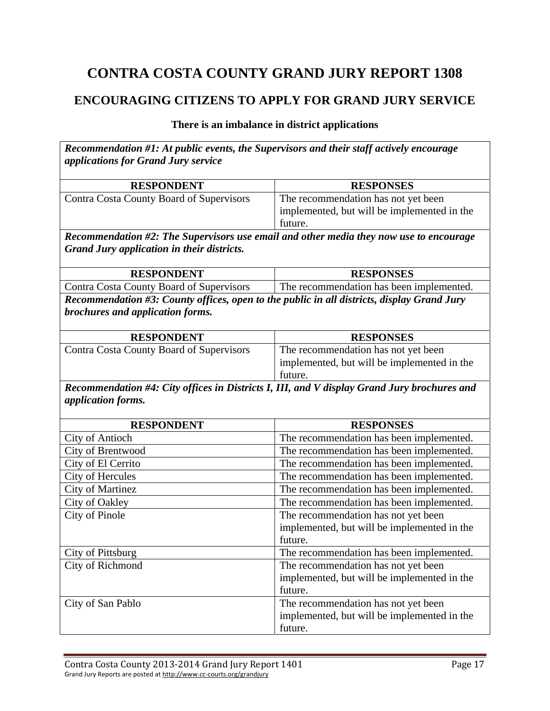### **ENCOURAGING CITIZENS TO APPLY FOR GRAND JURY SERVICE**

#### **There is an imbalance in district applications**

*Recommendation #1: At public events, the Supervisors and their staff actively encourage applications for Grand Jury service*  **RESPONDENT RESPONSES**  Contra Costa County Board of Supervisors The recommendation has not yet been implemented, but will be implemented in the future. *Recommendation #2: The Supervisors use email and other media they now use to encourage Grand Jury application in their districts.*  **RESPONDENT RESPONSES**  Contra Costa County Board of Supervisors The recommendation has been implemented. *Recommendation #3: County offices, open to the public in all districts, display Grand Jury brochures and application forms.*  **RESPONDENT RESPONSES**  Contra Costa County Board of Supervisors The recommendation has not yet been implemented, but will be implemented in the future. *Recommendation #4: City offices in Districts I, III, and V display Grand Jury brochures and application forms.*  **RESPONDENT RESPONSES**  City of Antioch The recommendation has been implemented. City of Brentwood The recommendation has been implemented. City of El Cerrito The recommendation has been implemented. City of Hercules The recommendation has been implemented. City of Martinez The recommendation has been implemented. City of Oakley The recommendation has been implemented. City of Pinole The recommendation has not yet been implemented, but will be implemented in the future. City of Pittsburg The recommendation has been implemented. City of Richmond The recommendation has not yet been implemented, but will be implemented in the future. City of San Pablo The recommendation has not yet been implemented, but will be implemented in the future.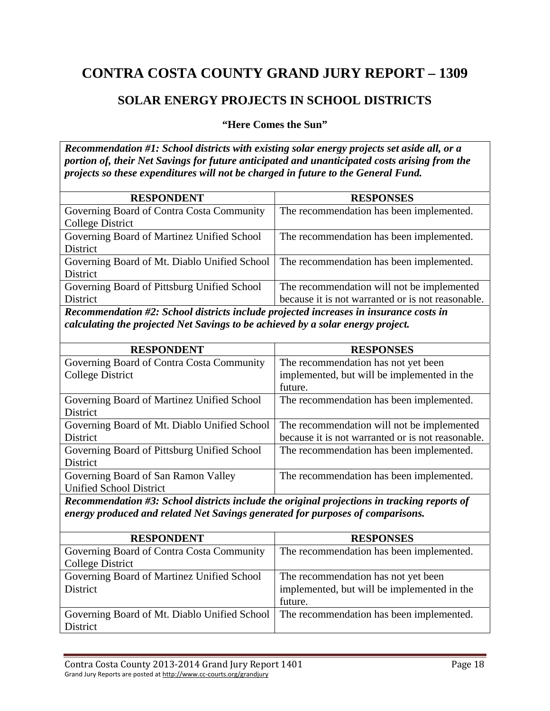### **SOLAR ENERGY PROJECTS IN SCHOOL DISTRICTS**

**"Here Comes the Sun"** 

*Recommendation #1: School districts with existing solar energy projects set aside all, or a portion of, their Net Savings for future anticipated and unanticipated costs arising from the projects so these expenditures will not be charged in future to the General Fund.* 

| <b>RESPONDENT</b>                            | <b>RESPONSES</b>                                  |
|----------------------------------------------|---------------------------------------------------|
| Governing Board of Contra Costa Community    | The recommendation has been implemented.          |
| <b>College District</b>                      |                                                   |
| Governing Board of Martinez Unified School   | The recommendation has been implemented.          |
| District                                     |                                                   |
| Governing Board of Mt. Diablo Unified School | The recommendation has been implemented.          |
| District                                     |                                                   |
| Governing Board of Pittsburg Unified School  | The recommendation will not be implemented        |
| District                                     | because it is not warranted or is not reasonable. |

*Recommendation #2: School districts include projected increases in insurance costs in calculating the projected Net Savings to be achieved by a solar energy project.* 

| <b>RESPONDENT</b>                            | <b>RESPONSES</b>                                  |
|----------------------------------------------|---------------------------------------------------|
| Governing Board of Contra Costa Community    | The recommendation has not yet been               |
| College District                             | implemented, but will be implemented in the       |
|                                              | future.                                           |
| Governing Board of Martinez Unified School   | The recommendation has been implemented.          |
| District                                     |                                                   |
| Governing Board of Mt. Diablo Unified School | The recommendation will not be implemented        |
| District                                     | because it is not warranted or is not reasonable. |
| Governing Board of Pittsburg Unified School  | The recommendation has been implemented.          |
| District                                     |                                                   |
| Governing Board of San Ramon Valley          | The recommendation has been implemented.          |
| <b>Unified School District</b>               |                                                   |

*Recommendation #3: School districts include the original projections in tracking reports of energy produced and related Net Savings generated for purposes of comparisons.* 

| <b>RESPONDENT</b>                            | <b>RESPONSES</b>                            |
|----------------------------------------------|---------------------------------------------|
| Governing Board of Contra Costa Community    | The recommendation has been implemented.    |
| College District                             |                                             |
| Governing Board of Martinez Unified School   | The recommendation has not yet been         |
| District                                     | implemented, but will be implemented in the |
|                                              | future.                                     |
| Governing Board of Mt. Diablo Unified School | The recommendation has been implemented.    |
| District                                     |                                             |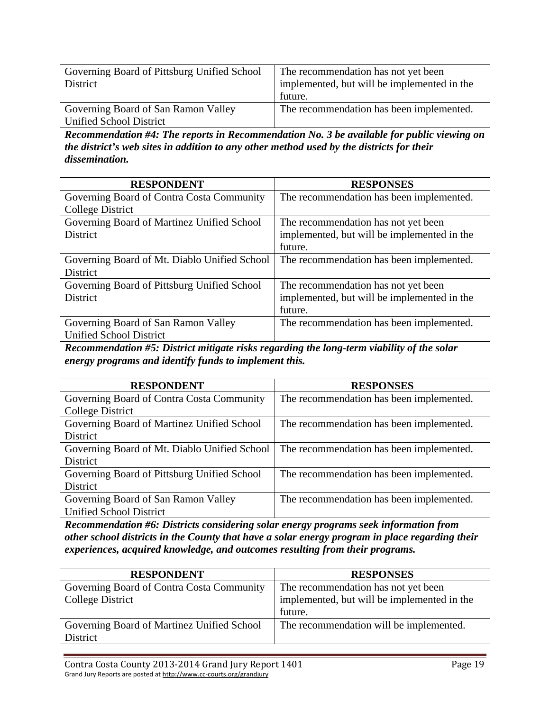| Governing Board of Pittsburg Unified School                                               | The recommendation has not yet been                                                       |
|-------------------------------------------------------------------------------------------|-------------------------------------------------------------------------------------------|
| <b>District</b>                                                                           | implemented, but will be implemented in the                                               |
|                                                                                           | future.                                                                                   |
| Governing Board of San Ramon Valley                                                       | The recommendation has been implemented.                                                  |
| <b>Unified School District</b>                                                            |                                                                                           |
|                                                                                           |                                                                                           |
|                                                                                           | Recommendation #4: The reports in Recommendation No. 3 be available for public viewing on |
| the district's web sites in addition to any other method used by the districts for their  |                                                                                           |
| dissemination.                                                                            |                                                                                           |
|                                                                                           |                                                                                           |
| <b>RESPONDENT</b>                                                                         | <b>RESPONSES</b>                                                                          |
| Governing Board of Contra Costa Community                                                 | The recommendation has been implemented.                                                  |
| <b>College District</b>                                                                   |                                                                                           |
| Governing Board of Martinez Unified School                                                | The recommendation has not yet been                                                       |
| District                                                                                  | implemented, but will be implemented in the                                               |
|                                                                                           | future.                                                                                   |
| Governing Board of Mt. Diablo Unified School                                              | The recommendation has been implemented.                                                  |
| District                                                                                  |                                                                                           |
| Governing Board of Pittsburg Unified School                                               | The recommendation has not yet been                                                       |
| District                                                                                  | implemented, but will be implemented in the                                               |
|                                                                                           | future.                                                                                   |
|                                                                                           |                                                                                           |
| Governing Board of San Ramon Valley                                                       | The recommendation has been implemented.                                                  |
| <b>Unified School District</b>                                                            |                                                                                           |
| Recommendation #5: District mitigate risks regarding the long-term viability of the solar |                                                                                           |
| energy programs and identify funds to implement this.                                     |                                                                                           |
|                                                                                           |                                                                                           |
| <b>RESPONDENT</b>                                                                         | <b>RESPONSES</b>                                                                          |
| Governing Board of Contra Costa Community                                                 | The recommendation has been implemented.                                                  |
| <b>College District</b>                                                                   |                                                                                           |
| Governing Board of Martinez Unified School                                                | The recommendation has been implemented.                                                  |
| <b>District</b>                                                                           |                                                                                           |
| Governing Board of Mt. Diablo Unified School                                              | The recommendation has been implemented.                                                  |
| <b>District</b>                                                                           |                                                                                           |
| Governing Board of Pittsburg Unified School                                               | The recommendation has been implemented.                                                  |
|                                                                                           |                                                                                           |

District Governing Board of San Ramon Valley Unified School District The recommendation has been implemented.

*Recommendation #6: Districts considering solar energy programs seek information from other school districts in the County that have a solar energy program in place regarding their experiences, acquired knowledge, and outcomes resulting from their programs.* 

| <b>RESPONDENT</b>                          | <b>RESPONSES</b>                            |
|--------------------------------------------|---------------------------------------------|
| Governing Board of Contra Costa Community  | The recommendation has not yet been         |
| College District                           | implemented, but will be implemented in the |
|                                            | future.                                     |
| Governing Board of Martinez Unified School | The recommendation will be implemented.     |
| District                                   |                                             |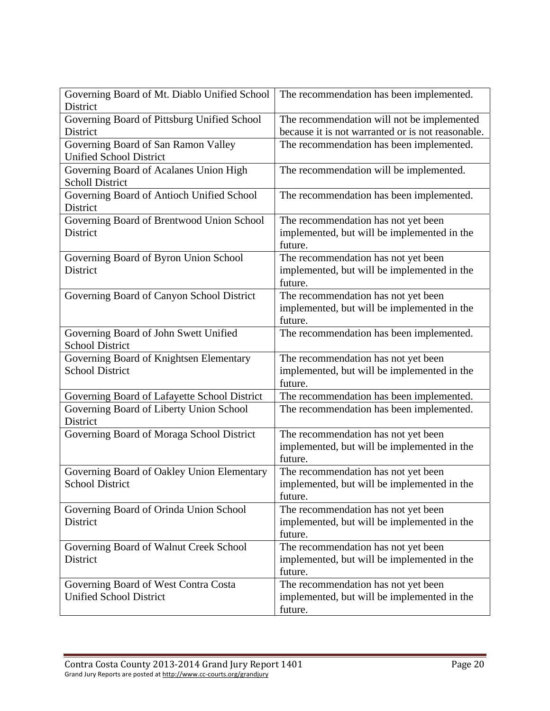| Governing Board of Mt. Diablo Unified School<br>District | The recommendation has been implemented.                                           |
|----------------------------------------------------------|------------------------------------------------------------------------------------|
| Governing Board of Pittsburg Unified School              | The recommendation will not be implemented                                         |
| District                                                 | because it is not warranted or is not reasonable.                                  |
| Governing Board of San Ramon Valley                      | The recommendation has been implemented.                                           |
| <b>Unified School District</b>                           |                                                                                    |
| Governing Board of Acalanes Union High                   | The recommendation will be implemented.                                            |
| <b>Scholl District</b>                                   |                                                                                    |
| Governing Board of Antioch Unified School                | The recommendation has been implemented.                                           |
| District                                                 |                                                                                    |
| Governing Board of Brentwood Union School                | The recommendation has not yet been                                                |
| District                                                 | implemented, but will be implemented in the                                        |
|                                                          | future.                                                                            |
| Governing Board of Byron Union School<br>District        | The recommendation has not yet been<br>implemented, but will be implemented in the |
|                                                          | future.                                                                            |
| Governing Board of Canyon School District                | The recommendation has not yet been                                                |
|                                                          | implemented, but will be implemented in the                                        |
|                                                          | future.                                                                            |
| Governing Board of John Swett Unified                    | The recommendation has been implemented.                                           |
| <b>School District</b>                                   |                                                                                    |
| Governing Board of Knightsen Elementary                  | The recommendation has not yet been                                                |
| <b>School District</b>                                   | implemented, but will be implemented in the                                        |
|                                                          | future.                                                                            |
| Governing Board of Lafayette School District             | The recommendation has been implemented.                                           |
| Governing Board of Liberty Union School                  | The recommendation has been implemented.                                           |
| District                                                 |                                                                                    |
| Governing Board of Moraga School District                | The recommendation has not yet been                                                |
|                                                          | implemented, but will be implemented in the                                        |
|                                                          | future.                                                                            |
| Governing Board of Oakley Union Elementary               | The recommendation has not yet been                                                |
| <b>School District</b>                                   | implemented, but will be implemented in the                                        |
|                                                          | future.                                                                            |
| Governing Board of Orinda Union School                   | The recommendation has not yet been                                                |
| District                                                 | implemented, but will be implemented in the<br>future.                             |
| Governing Board of Walnut Creek School                   | The recommendation has not yet been                                                |
| District                                                 | implemented, but will be implemented in the                                        |
|                                                          | future.                                                                            |
| Governing Board of West Contra Costa                     | The recommendation has not yet been                                                |
| <b>Unified School District</b>                           | implemented, but will be implemented in the                                        |
|                                                          | future.                                                                            |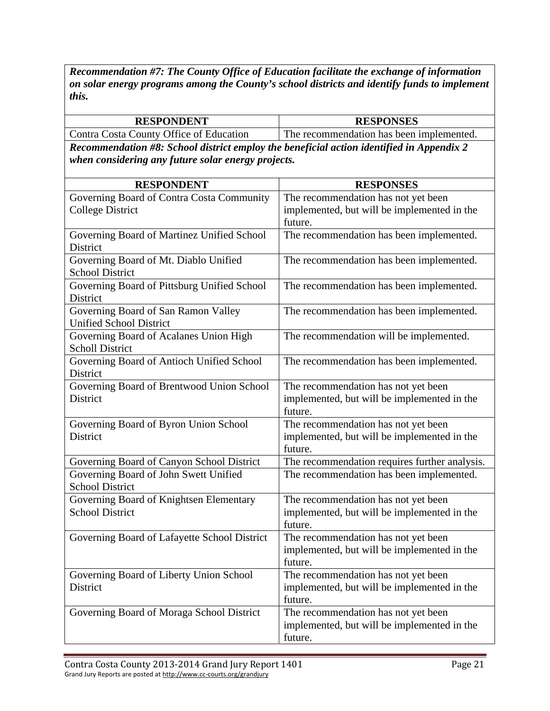*Recommendation #7: The County Office of Education facilitate the exchange of information on solar energy programs among the County's school districts and identify funds to implement this.* 

| <b>RESPONDENT</b>                                                                        | <b>RESPONSES</b>                                                                              |
|------------------------------------------------------------------------------------------|-----------------------------------------------------------------------------------------------|
| Contra Costa County Office of Education                                                  | The recommendation has been implemented.                                                      |
| Recommendation #8: School district employ the beneficial action identified in Appendix 2 |                                                                                               |
| when considering any future solar energy projects.                                       |                                                                                               |
| <b>RESPONDENT</b>                                                                        | <b>RESPONSES</b>                                                                              |
| Governing Board of Contra Costa Community                                                | The recommendation has not yet been                                                           |
| <b>College District</b>                                                                  | implemented, but will be implemented in the<br>future.                                        |
| Governing Board of Martinez Unified School<br>District                                   | The recommendation has been implemented.                                                      |
| Governing Board of Mt. Diablo Unified<br><b>School District</b>                          | The recommendation has been implemented.                                                      |
| Governing Board of Pittsburg Unified School<br>District                                  | The recommendation has been implemented.                                                      |
| Governing Board of San Ramon Valley<br><b>Unified School District</b>                    | The recommendation has been implemented.                                                      |
| Governing Board of Acalanes Union High<br><b>Scholl District</b>                         | The recommendation will be implemented.                                                       |
| Governing Board of Antioch Unified School<br>District                                    | The recommendation has been implemented.                                                      |
| Governing Board of Brentwood Union School<br>District                                    | The recommendation has not yet been<br>implemented, but will be implemented in the<br>future. |
| Governing Board of Byron Union School<br>District                                        | The recommendation has not yet been<br>implemented, but will be implemented in the<br>future. |
| Governing Board of Canyon School District                                                | The recommendation requires further analysis.                                                 |
| Governing Board of John Swett Unified<br><b>School District</b>                          | The recommendation has been implemented.                                                      |
| Governing Board of Knightsen Elementary<br><b>School District</b>                        | The recommendation has not yet been<br>implemented, but will be implemented in the<br>future. |
| Governing Board of Lafayette School District                                             | The recommendation has not yet been<br>implemented, but will be implemented in the<br>future. |
| Governing Board of Liberty Union School<br>District                                      | The recommendation has not yet been<br>implemented, but will be implemented in the<br>future. |
| Governing Board of Moraga School District                                                | The recommendation has not yet been<br>implemented, but will be implemented in the<br>future. |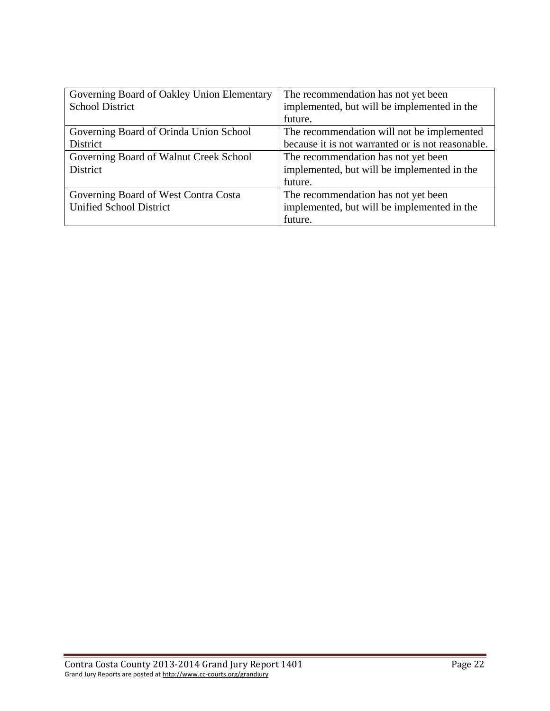| Governing Board of Oakley Union Elementary | The recommendation has not yet been               |
|--------------------------------------------|---------------------------------------------------|
| <b>School District</b>                     | implemented, but will be implemented in the       |
|                                            | future.                                           |
| Governing Board of Orinda Union School     | The recommendation will not be implemented        |
| District                                   | because it is not warranted or is not reasonable. |
| Governing Board of Walnut Creek School     | The recommendation has not yet been               |
| District                                   | implemented, but will be implemented in the       |
|                                            | future.                                           |
| Governing Board of West Contra Costa       | The recommendation has not yet been               |
| <b>Unified School District</b>             | implemented, but will be implemented in the       |
|                                            | future.                                           |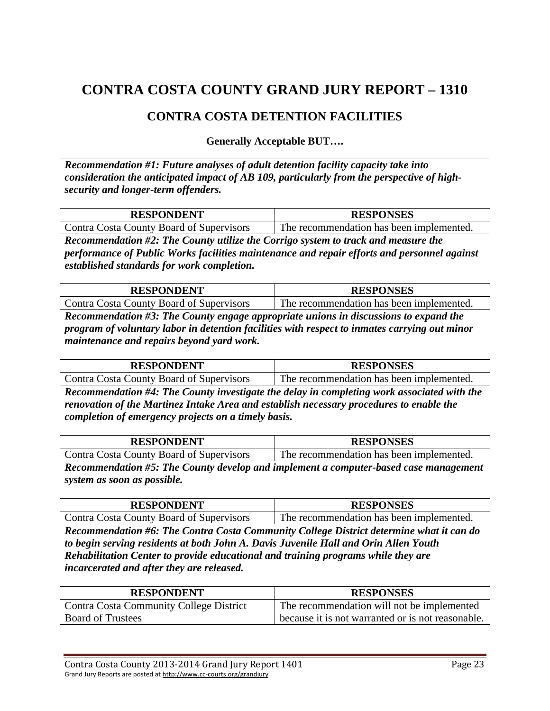### **CONTRA COSTA DETENTION FACILITIES**

**Generally Acceptable BUT….** 

*Recommendation #1: Future analyses of adult detention facility capacity take into consideration the anticipated impact of AB 109, particularly from the perspective of highsecurity and longer-term offenders.* 

| <b>RESPONDENT</b>                                                                                                                                                                                                                                                                                | <b>RESPONSES</b>                         |
|--------------------------------------------------------------------------------------------------------------------------------------------------------------------------------------------------------------------------------------------------------------------------------------------------|------------------------------------------|
| Contra Costa County Board of Supervisors                                                                                                                                                                                                                                                         | The recommendation has been implemented. |
| $\mathbf{u}$ and $\mathbf{u}$ and $\mathbf{u}$ and $\mathbf{u}$ and $\mathbf{u}$ and $\mathbf{u}$ and $\mathbf{u}$ and $\mathbf{u}$ and $\mathbf{u}$ and $\mathbf{u}$ and $\mathbf{u}$ and $\mathbf{u}$ and $\mathbf{u}$ and $\mathbf{u}$ and $\mathbf{u}$ and $\mathbf{u}$ and $\mathbf{u}$ and |                                          |

*Recommendation #2: The County utilize the Corrigo system to track and measure the performance of Public Works facilities maintenance and repair efforts and personnel against established standards for work completion.* 

| <b>DECDAMNEMT</b> | <b>ESPONSES</b><br>DЕ<br>n. |
|-------------------|-----------------------------|
|                   |                             |

Contra Costa County Board of Supervisors The recommendation has been implemented. *Recommendation #3: The County engage appropriate unions in discussions to expand the program of voluntary labor in detention facilities with respect to inmates carrying out minor maintenance and repairs beyond yard work.* 

| <b>RESPONDENT</b>                        | <b>RESPONSES</b>                         |
|------------------------------------------|------------------------------------------|
| Contra Costa County Board of Supervisors | The recommendation has been implemented. |
| $-$                                      |                                          |

*Recommendation #4: The County investigate the delay in completing work associated with the renovation of the Martinez Intake Area and establish necessary procedures to enable the completion of emergency projects on a timely basis.* 

| <b>RESPONDENT</b>                        | <b>RESPONSES</b>                         |
|------------------------------------------|------------------------------------------|
| Contra Costa County Board of Supervisors | The recommendation has been implemented. |

*Recommendation #5: The County develop and implement a computer-based case management system as soon as possible.* 

| <b>RESPONDENT</b>                        | <b>RESPONSES</b>                         |
|------------------------------------------|------------------------------------------|
| Contra Costa County Board of Supervisors | The recommendation has been implemented. |

*Recommendation #6: The Contra Costa Community College District determine what it can do to begin serving residents at both John A. Davis Juvenile Hall and Orin Allen Youth Rehabilitation Center to provide educational and training programs while they are incarcerated and after they are released.* 

| <b>RESPONDENT</b>                              | <b>RESPONSES</b>                                  |
|------------------------------------------------|---------------------------------------------------|
| <b>Contra Costa Community College District</b> | The recommendation will not be implemented        |
| <b>Board of Trustees</b>                       | because it is not warranted or is not reasonable. |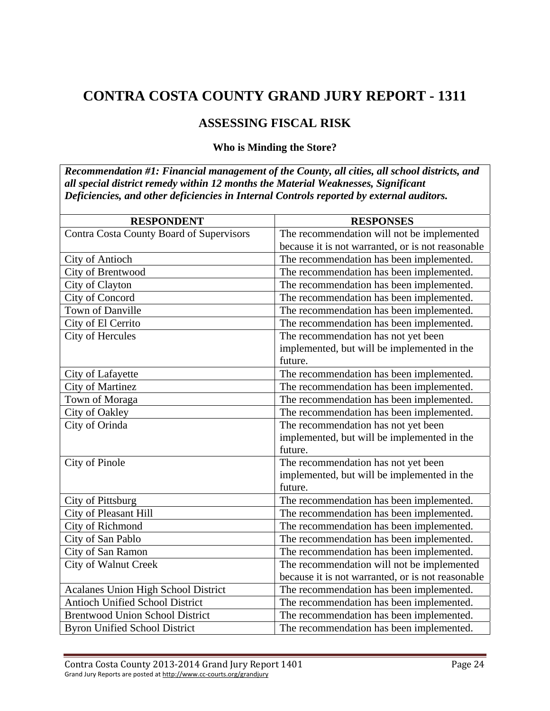### **ASSESSING FISCAL RISK**

#### **Who is Minding the Store?**

*Recommendation #1: Financial management of the County, all cities, all school districts, and all special district remedy within 12 months the Material Weaknesses, Significant Deficiencies, and other deficiencies in Internal Controls reported by external auditors.* 

| <b>RESPONDENT</b>                          | <b>RESPONSES</b>                                  |
|--------------------------------------------|---------------------------------------------------|
| Contra Costa County Board of Supervisors   | The recommendation will not be implemented        |
|                                            | because it is not warranted, or is not reasonable |
| City of Antioch                            | The recommendation has been implemented.          |
| City of Brentwood                          | The recommendation has been implemented.          |
| City of Clayton                            | The recommendation has been implemented.          |
| City of Concord                            | The recommendation has been implemented.          |
| Town of Danville                           | The recommendation has been implemented.          |
| City of El Cerrito                         | The recommendation has been implemented.          |
| City of Hercules                           | The recommendation has not yet been               |
|                                            | implemented, but will be implemented in the       |
|                                            | future.                                           |
| City of Lafayette                          | The recommendation has been implemented.          |
| <b>City of Martinez</b>                    | The recommendation has been implemented.          |
| Town of Moraga                             | The recommendation has been implemented.          |
| City of Oakley                             | The recommendation has been implemented.          |
| City of Orinda                             | The recommendation has not yet been               |
|                                            | implemented, but will be implemented in the       |
|                                            | future.                                           |
| City of Pinole                             | The recommendation has not yet been               |
|                                            | implemented, but will be implemented in the       |
|                                            | future.                                           |
| City of Pittsburg                          | The recommendation has been implemented.          |
| City of Pleasant Hill                      | The recommendation has been implemented.          |
| City of Richmond                           | The recommendation has been implemented.          |
| City of San Pablo                          | The recommendation has been implemented.          |
| City of San Ramon                          | The recommendation has been implemented.          |
| <b>City of Walnut Creek</b>                | The recommendation will not be implemented        |
|                                            | because it is not warranted, or is not reasonable |
| <b>Acalanes Union High School District</b> | The recommendation has been implemented.          |
| <b>Antioch Unified School District</b>     | The recommendation has been implemented.          |
| <b>Brentwood Union School District</b>     | The recommendation has been implemented.          |
| <b>Byron Unified School District</b>       | The recommendation has been implemented.          |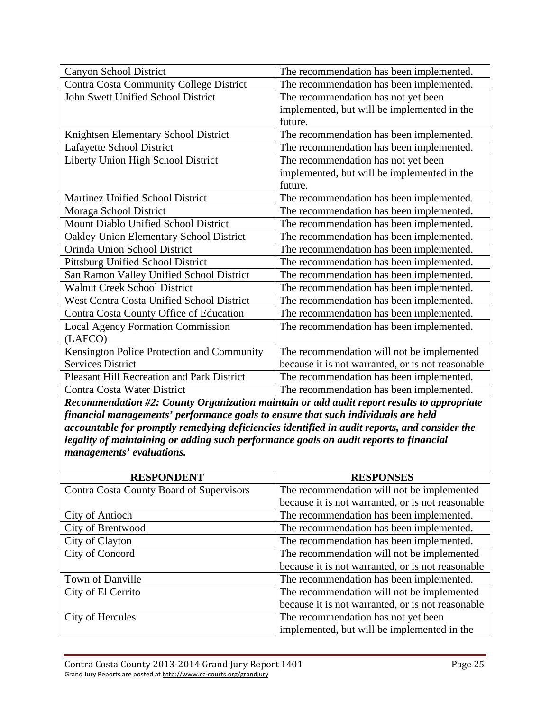| Canyon School District                            | The recommendation has been implemented.          |
|---------------------------------------------------|---------------------------------------------------|
| Contra Costa Community College District           | The recommendation has been implemented.          |
| John Swett Unified School District                | The recommendation has not yet been               |
|                                                   | implemented, but will be implemented in the       |
|                                                   | future.                                           |
| Knightsen Elementary School District              | The recommendation has been implemented.          |
| Lafayette School District                         | The recommendation has been implemented.          |
| Liberty Union High School District                | The recommendation has not yet been               |
|                                                   | implemented, but will be implemented in the       |
|                                                   | future.                                           |
| Martinez Unified School District                  | The recommendation has been implemented.          |
| Moraga School District                            | The recommendation has been implemented.          |
| Mount Diablo Unified School District              | The recommendation has been implemented.          |
| Oakley Union Elementary School District           | The recommendation has been implemented.          |
| Orinda Union School District                      | The recommendation has been implemented.          |
| <b>Pittsburg Unified School District</b>          | The recommendation has been implemented.          |
| San Ramon Valley Unified School District          | The recommendation has been implemented.          |
| <b>Walnut Creek School District</b>               | The recommendation has been implemented.          |
| West Contra Costa Unified School District         | The recommendation has been implemented.          |
| Contra Costa County Office of Education           | The recommendation has been implemented.          |
| <b>Local Agency Formation Commission</b>          | The recommendation has been implemented.          |
| (LAFCO)                                           |                                                   |
| Kensington Police Protection and Community        | The recommendation will not be implemented        |
| <b>Services District</b>                          | because it is not warranted, or is not reasonable |
| <b>Pleasant Hill Recreation and Park District</b> | The recommendation has been implemented.          |
| Contra Costa Water District                       | The recommendation has been implemented.          |

*Recommendation #2: County Organization maintain or add audit report results to appropriate financial managements' performance goals to ensure that such individuals are held accountable for promptly remedying deficiencies identified in audit reports, and consider the legality of maintaining or adding such performance goals on audit reports to financial managements' evaluations.* 

| <b>RESPONDENT</b>                        | <b>RESPONSES</b>                                  |
|------------------------------------------|---------------------------------------------------|
| Contra Costa County Board of Supervisors | The recommendation will not be implemented        |
|                                          | because it is not warranted, or is not reasonable |
| City of Antioch                          | The recommendation has been implemented.          |
| City of Brentwood                        | The recommendation has been implemented.          |
| City of Clayton                          | The recommendation has been implemented.          |
| City of Concord                          | The recommendation will not be implemented        |
|                                          | because it is not warranted, or is not reasonable |
| Town of Danville                         | The recommendation has been implemented.          |
| City of El Cerrito                       | The recommendation will not be implemented        |
|                                          | because it is not warranted, or is not reasonable |
| City of Hercules                         | The recommendation has not yet been               |
|                                          | implemented, but will be implemented in the       |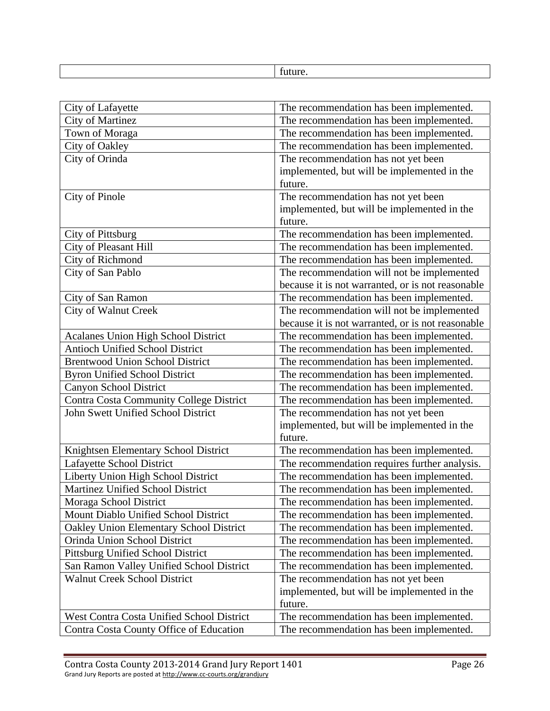| City of Lafayette                          | The recommendation has been implemented.          |
|--------------------------------------------|---------------------------------------------------|
| <b>City of Martinez</b>                    | The recommendation has been implemented.          |
| Town of Moraga                             | The recommendation has been implemented.          |
| City of Oakley                             | The recommendation has been implemented.          |
| City of Orinda                             | The recommendation has not yet been               |
|                                            | implemented, but will be implemented in the       |
|                                            | future.                                           |
| City of Pinole                             | The recommendation has not yet been               |
|                                            | implemented, but will be implemented in the       |
|                                            | future.                                           |
| City of Pittsburg                          | The recommendation has been implemented.          |
| City of Pleasant Hill                      | The recommendation has been implemented.          |
| City of Richmond                           | The recommendation has been implemented.          |
| City of San Pablo                          | The recommendation will not be implemented        |
|                                            | because it is not warranted, or is not reasonable |
| City of San Ramon                          | The recommendation has been implemented.          |
| <b>City of Walnut Creek</b>                | The recommendation will not be implemented        |
|                                            | because it is not warranted, or is not reasonable |
| <b>Acalanes Union High School District</b> | The recommendation has been implemented.          |
| <b>Antioch Unified School District</b>     | The recommendation has been implemented.          |
| <b>Brentwood Union School District</b>     | The recommendation has been implemented.          |
| <b>Byron Unified School District</b>       | The recommendation has been implemented.          |
| Canyon School District                     | The recommendation has been implemented.          |
| Contra Costa Community College District    | The recommendation has been implemented.          |
| John Swett Unified School District         | The recommendation has not yet been               |
|                                            | implemented, but will be implemented in the       |
|                                            | future.                                           |
| Knightsen Elementary School District       | The recommendation has been implemented.          |
| Lafayette School District                  | The recommendation requires further analysis.     |
| Liberty Union High School District         | The recommendation has been implemented.          |
| Martinez Unified School District           | The recommendation has been implemented.          |
| Moraga School District                     | The recommendation has been implemented.          |
| Mount Diablo Unified School District       | The recommendation has been implemented.          |
| Oakley Union Elementary School District    | The recommendation has been implemented.          |
| Orinda Union School District               | The recommendation has been implemented.          |
| Pittsburg Unified School District          | The recommendation has been implemented.          |
| San Ramon Valley Unified School District   | The recommendation has been implemented.          |
| <b>Walnut Creek School District</b>        | The recommendation has not yet been               |
|                                            | implemented, but will be implemented in the       |
|                                            | future.                                           |
| West Contra Costa Unified School District  | The recommendation has been implemented.          |
| Contra Costa County Office of Education    | The recommendation has been implemented.          |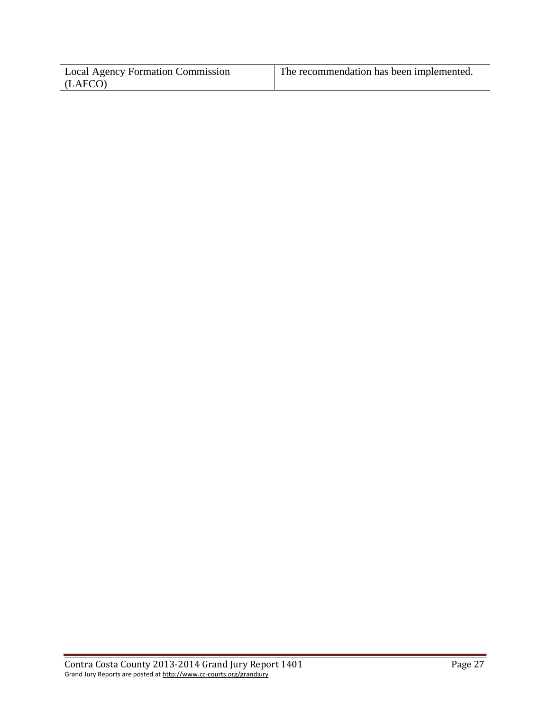| <b>Local Agency Formation Commission</b> | The recommendation has been implemented. |
|------------------------------------------|------------------------------------------|
| (LAFCO)                                  |                                          |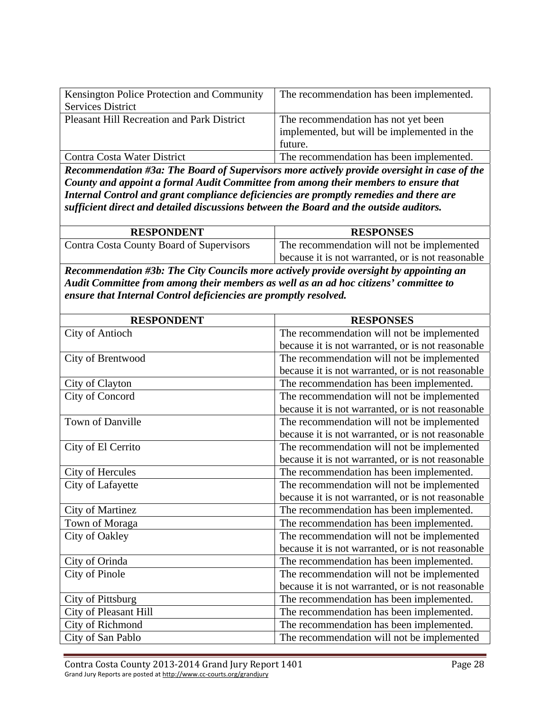| Kensington Police Protection and Community        | The recommendation has been implemented.    |
|---------------------------------------------------|---------------------------------------------|
| <b>Services District</b>                          |                                             |
| <b>Pleasant Hill Recreation and Park District</b> | The recommendation has not yet been         |
|                                                   | implemented, but will be implemented in the |
|                                                   | future.                                     |
| Contra Costa Water District                       | The recommendation has been implemented.    |

*Recommendation #3a: The Board of Supervisors more actively provide oversight in case of the County and appoint a formal Audit Committee from among their members to ensure that Internal Control and grant compliance deficiencies are promptly remedies and there are sufficient direct and detailed discussions between the Board and the outside auditors.* 

| <b>RESPONDENT</b>                        | <b>RESPONSES</b>                                  |
|------------------------------------------|---------------------------------------------------|
| Contra Costa County Board of Supervisors | The recommendation will not be implemented        |
|                                          | because it is not warranted, or is not reasonable |

*Recommendation #3b: The City Councils more actively provide oversight by appointing an Audit Committee from among their members as well as an ad hoc citizens' committee to ensure that Internal Control deficiencies are promptly resolved.* 

| <b>RESPONDENT</b>       | <b>RESPONSES</b>                                  |
|-------------------------|---------------------------------------------------|
| City of Antioch         | The recommendation will not be implemented        |
|                         | because it is not warranted, or is not reasonable |
| City of Brentwood       | The recommendation will not be implemented        |
|                         | because it is not warranted, or is not reasonable |
| City of Clayton         | The recommendation has been implemented.          |
| City of Concord         | The recommendation will not be implemented        |
|                         | because it is not warranted, or is not reasonable |
| Town of Danville        | The recommendation will not be implemented        |
|                         | because it is not warranted, or is not reasonable |
| City of El Cerrito      | The recommendation will not be implemented        |
|                         | because it is not warranted, or is not reasonable |
| City of Hercules        | The recommendation has been implemented.          |
| City of Lafayette       | The recommendation will not be implemented        |
|                         | because it is not warranted, or is not reasonable |
| <b>City of Martinez</b> | The recommendation has been implemented.          |
| Town of Moraga          | The recommendation has been implemented.          |
| City of Oakley          | The recommendation will not be implemented        |
|                         | because it is not warranted, or is not reasonable |
| City of Orinda          | The recommendation has been implemented.          |
| City of Pinole          | The recommendation will not be implemented        |
|                         | because it is not warranted, or is not reasonable |
| City of Pittsburg       | The recommendation has been implemented.          |
| City of Pleasant Hill   | The recommendation has been implemented.          |
| City of Richmond        | The recommendation has been implemented.          |
| City of San Pablo       | The recommendation will not be implemented        |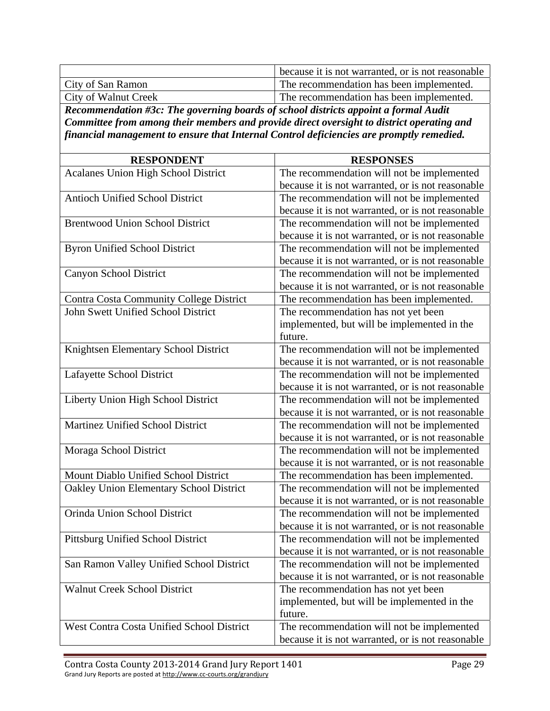|                      | because it is not warranted, or is not reasonable |
|----------------------|---------------------------------------------------|
| City of San Ramon    | The recommendation has been implemented.          |
| City of Walnut Creek | The recommendation has been implemented.          |

*Recommendation #3c: The governing boards of school districts appoint a formal Audit Committee from among their members and provide direct oversight to district operating and financial management to ensure that Internal Control deficiencies are promptly remedied.* 

| <b>RESPONDENT</b>                          | <b>RESPONSES</b>                                  |
|--------------------------------------------|---------------------------------------------------|
| <b>Acalanes Union High School District</b> | The recommendation will not be implemented        |
|                                            | because it is not warranted, or is not reasonable |
| <b>Antioch Unified School District</b>     | The recommendation will not be implemented        |
|                                            | because it is not warranted, or is not reasonable |
| <b>Brentwood Union School District</b>     | The recommendation will not be implemented        |
|                                            | because it is not warranted, or is not reasonable |
| <b>Byron Unified School District</b>       | The recommendation will not be implemented        |
|                                            | because it is not warranted, or is not reasonable |
| Canyon School District                     | The recommendation will not be implemented        |
|                                            | because it is not warranted, or is not reasonable |
| Contra Costa Community College District    | The recommendation has been implemented.          |
| John Swett Unified School District         | The recommendation has not yet been               |
|                                            | implemented, but will be implemented in the       |
|                                            | future.                                           |
| Knightsen Elementary School District       | The recommendation will not be implemented        |
|                                            | because it is not warranted, or is not reasonable |
| Lafayette School District                  | The recommendation will not be implemented        |
|                                            | because it is not warranted, or is not reasonable |
| Liberty Union High School District         | The recommendation will not be implemented        |
|                                            | because it is not warranted, or is not reasonable |
| Martinez Unified School District           | The recommendation will not be implemented        |
|                                            | because it is not warranted, or is not reasonable |
| Moraga School District                     | The recommendation will not be implemented        |
|                                            | because it is not warranted, or is not reasonable |
| Mount Diablo Unified School District       | The recommendation has been implemented.          |
| Oakley Union Elementary School District    | The recommendation will not be implemented        |
|                                            | because it is not warranted, or is not reasonable |
| Orinda Union School District               | The recommendation will not be implemented        |
|                                            | because it is not warranted, or is not reasonable |
| Pittsburg Unified School District          | The recommendation will not be implemented        |
|                                            | because it is not warranted, or is not reasonable |
| San Ramon Valley Unified School District   | The recommendation will not be implemented        |
|                                            | because it is not warranted, or is not reasonable |
| <b>Walnut Creek School District</b>        | The recommendation has not yet been               |
|                                            | implemented, but will be implemented in the       |
|                                            | future.                                           |
| West Contra Costa Unified School District  | The recommendation will not be implemented        |
|                                            | because it is not warranted, or is not reasonable |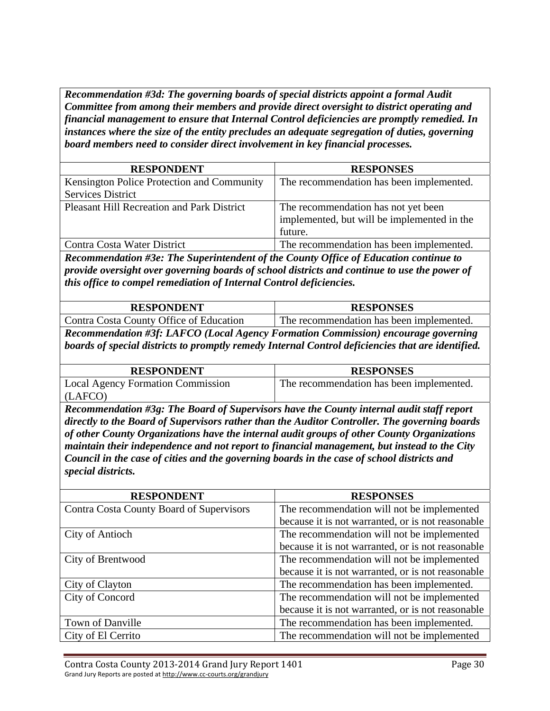*Recommendation #3d: The governing boards of special districts appoint a formal Audit Committee from among their members and provide direct oversight to district operating and financial management to ensure that Internal Control deficiencies are promptly remedied. In instances where the size of the entity precludes an adequate segregation of duties, governing board members need to consider direct involvement in key financial processes.* 

| <b>RESPONDENT</b>                                                                    | <b>RESPONSES</b>                                                                                               |
|--------------------------------------------------------------------------------------|----------------------------------------------------------------------------------------------------------------|
| Kensington Police Protection and Community<br><b>Services District</b>               | The recommendation has been implemented.                                                                       |
| <b>Pleasant Hill Recreation and Park District</b>                                    | The recommendation has not yet been<br>implemented, but will be implemented in the<br>future.                  |
| Contra Costa Water District                                                          | The recommendation has been implemented.                                                                       |
| Recommendation #3e: The Superintendent of the County Office of Education continue to | rende de la constitución de la constitución de la constitución de la constitución de la constitución de la con |

*provide oversight over governing boards of school districts and continue to use the power of this office to compel remediation of Internal Control deficiencies.* 

| <b>RESPONDENT</b>                       | <b>RESPONSES</b>                         |
|-----------------------------------------|------------------------------------------|
| Contra Costa County Office of Education | The recommendation has been implemented. |

*Recommendation #3f: LAFCO (Local Agency Formation Commission) encourage governing boards of special districts to promptly remedy Internal Control deficiencies that are identified.* 

| <b>RESPONDENT</b>                        | <b>RESPONSES</b>                         |
|------------------------------------------|------------------------------------------|
| <b>Local Agency Formation Commission</b> | The recommendation has been implemented. |
| (LAFCO)                                  |                                          |

*Recommendation #3g: The Board of Supervisors have the County internal audit staff report directly to the Board of Supervisors rather than the Auditor Controller. The governing boards of other County Organizations have the internal audit groups of other County Organizations maintain their independence and not report to financial management, but instead to the City Council in the case of cities and the governing boards in the case of school districts and special districts.* 

| <b>RESPONDENT</b>                        | <b>RESPONSES</b>                                  |
|------------------------------------------|---------------------------------------------------|
| Contra Costa County Board of Supervisors | The recommendation will not be implemented        |
|                                          | because it is not warranted, or is not reasonable |
| City of Antioch                          | The recommendation will not be implemented        |
|                                          | because it is not warranted, or is not reasonable |
| City of Brentwood                        | The recommendation will not be implemented        |
|                                          | because it is not warranted, or is not reasonable |
| City of Clayton                          | The recommendation has been implemented.          |
| City of Concord                          | The recommendation will not be implemented        |
|                                          | because it is not warranted, or is not reasonable |
| Town of Danville                         | The recommendation has been implemented.          |
| City of El Cerrito                       | The recommendation will not be implemented        |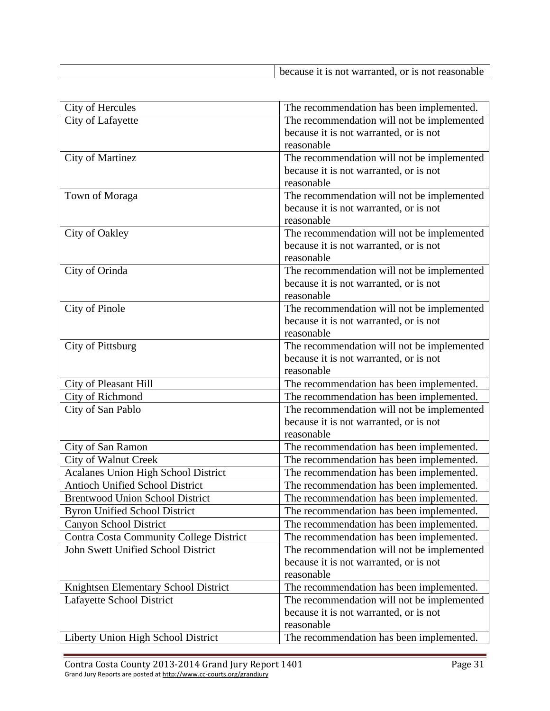| because it is not warranted, or is not reasonable |
|---------------------------------------------------|

| City of Hercules                               | The recommendation has been implemented.   |
|------------------------------------------------|--------------------------------------------|
| City of Lafayette                              | The recommendation will not be implemented |
|                                                | because it is not warranted, or is not     |
|                                                | reasonable                                 |
| <b>City of Martinez</b>                        | The recommendation will not be implemented |
|                                                | because it is not warranted, or is not     |
|                                                | reasonable                                 |
| Town of Moraga                                 | The recommendation will not be implemented |
|                                                | because it is not warranted, or is not     |
|                                                | reasonable                                 |
| City of Oakley                                 | The recommendation will not be implemented |
|                                                | because it is not warranted, or is not     |
|                                                | reasonable                                 |
| City of Orinda                                 | The recommendation will not be implemented |
|                                                | because it is not warranted, or is not     |
|                                                | reasonable                                 |
| City of Pinole                                 | The recommendation will not be implemented |
|                                                | because it is not warranted, or is not     |
|                                                | reasonable                                 |
| City of Pittsburg                              | The recommendation will not be implemented |
|                                                | because it is not warranted, or is not     |
|                                                | reasonable                                 |
| City of Pleasant Hill                          | The recommendation has been implemented.   |
| City of Richmond                               | The recommendation has been implemented.   |
| City of San Pablo                              | The recommendation will not be implemented |
|                                                | because it is not warranted, or is not     |
|                                                | reasonable                                 |
| City of San Ramon                              | The recommendation has been implemented.   |
| City of Walnut Creek                           | The recommendation has been implemented.   |
| Acalanes Union High School District            | The recommendation has been implemented.   |
| Antioch Unified School District                | The recommendation has been implemented.   |
| <b>Brentwood Union School District</b>         | The recommendation has been implemented.   |
| <b>Byron Unified School District</b>           | The recommendation has been implemented.   |
| Canyon School District                         | The recommendation has been implemented.   |
| <b>Contra Costa Community College District</b> | The recommendation has been implemented.   |
| John Swett Unified School District             | The recommendation will not be implemented |
|                                                | because it is not warranted, or is not     |
|                                                | reasonable                                 |
| Knightsen Elementary School District           | The recommendation has been implemented.   |
| Lafayette School District                      | The recommendation will not be implemented |
|                                                | because it is not warranted, or is not     |
|                                                | reasonable                                 |
| Liberty Union High School District             | The recommendation has been implemented.   |

Contra Costa County 2013-2014 Grand Jury Report 1401 **Page 31** Grand Jury Reports are posted at http://www.cc-courts.org/grandjury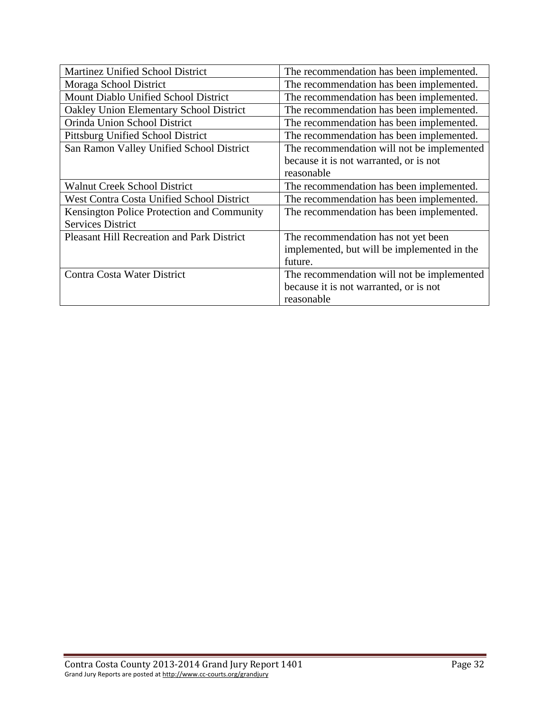| <b>Martinez Unified School District</b>           | The recommendation has been implemented.    |
|---------------------------------------------------|---------------------------------------------|
| Moraga School District                            | The recommendation has been implemented.    |
| Mount Diablo Unified School District              | The recommendation has been implemented.    |
| Oakley Union Elementary School District           | The recommendation has been implemented.    |
| Orinda Union School District                      | The recommendation has been implemented.    |
| Pittsburg Unified School District                 | The recommendation has been implemented.    |
| San Ramon Valley Unified School District          | The recommendation will not be implemented  |
|                                                   | because it is not warranted, or is not      |
|                                                   | reasonable                                  |
| <b>Walnut Creek School District</b>               | The recommendation has been implemented.    |
| <b>West Contra Costa Unified School District</b>  | The recommendation has been implemented.    |
| Kensington Police Protection and Community        | The recommendation has been implemented.    |
| <b>Services District</b>                          |                                             |
| <b>Pleasant Hill Recreation and Park District</b> | The recommendation has not yet been         |
|                                                   | implemented, but will be implemented in the |
|                                                   | future.                                     |
| Contra Costa Water District                       | The recommendation will not be implemented  |
|                                                   | because it is not warranted, or is not      |
|                                                   | reasonable                                  |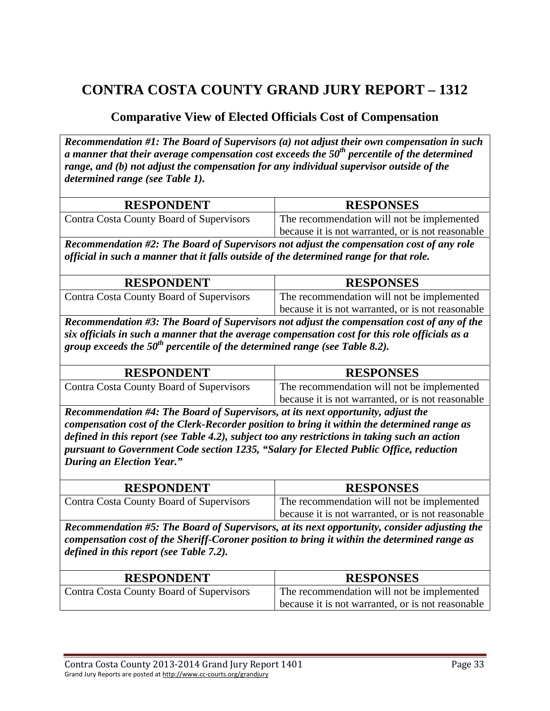#### **Comparative View of Elected Officials Cost of Compensation**

*Recommendation #1: The Board of Supervisors (a) not adjust their own compensation in such a manner that their average compensation cost exceeds the 50th percentile of the determined range, and (b) not adjust the compensation for any individual supervisor outside of the determined range (see Table 1).* 

| <b>RESPONDENT</b>                        | <b>RESPONSES</b>                                  |
|------------------------------------------|---------------------------------------------------|
| Contra Costa County Board of Supervisors | The recommendation will not be implemented        |
|                                          | because it is not warranted, or is not reasonable |

*Recommendation #2: The Board of Supervisors not adjust the compensation cost of any role official in such a manner that it falls outside of the determined range for that role.* 

| <b>RESPONDENT</b>                        | <b>RESPONSES</b>                                  |
|------------------------------------------|---------------------------------------------------|
| Contra Costa County Board of Supervisors | The recommendation will not be implemented        |
|                                          | because it is not warranted, or is not reasonable |

*Recommendation #3: The Board of Supervisors not adjust the compensation cost of any of the six officials in such a manner that the average compensation cost for this role officials as a group exceeds the 50th percentile of the determined range (see Table 8.2).* 

| <b>RESPONDENT</b>                        | <b>RESPONSES</b>                                  |
|------------------------------------------|---------------------------------------------------|
| Contra Costa County Board of Supervisors | The recommendation will not be implemented        |
|                                          | because it is not warranted, or is not reasonable |

*Recommendation #4: The Board of Supervisors, at its next opportunity, adjust the compensation cost of the Clerk-Recorder position to bring it within the determined range as defined in this report (see Table 4.2), subject too any restrictions in taking such an action pursuant to Government Code section 1235, "Salary for Elected Public Office, reduction During an Election Year."* 

| <b>RESPONDENT</b>                        | <b>RESPONSES</b>                                  |
|------------------------------------------|---------------------------------------------------|
| Contra Costa County Board of Supervisors | The recommendation will not be implemented        |
|                                          | because it is not warranted, or is not reasonable |

*Recommendation #5: The Board of Supervisors, at its next opportunity, consider adjusting the compensation cost of the Sheriff-Coroner position to bring it within the determined range as defined in this report (see Table 7.2).* 

| <b>RESPONDENT</b>                        | <b>RESPONSES</b>                                  |
|------------------------------------------|---------------------------------------------------|
| Contra Costa County Board of Supervisors | The recommendation will not be implemented        |
|                                          | because it is not warranted, or is not reasonable |